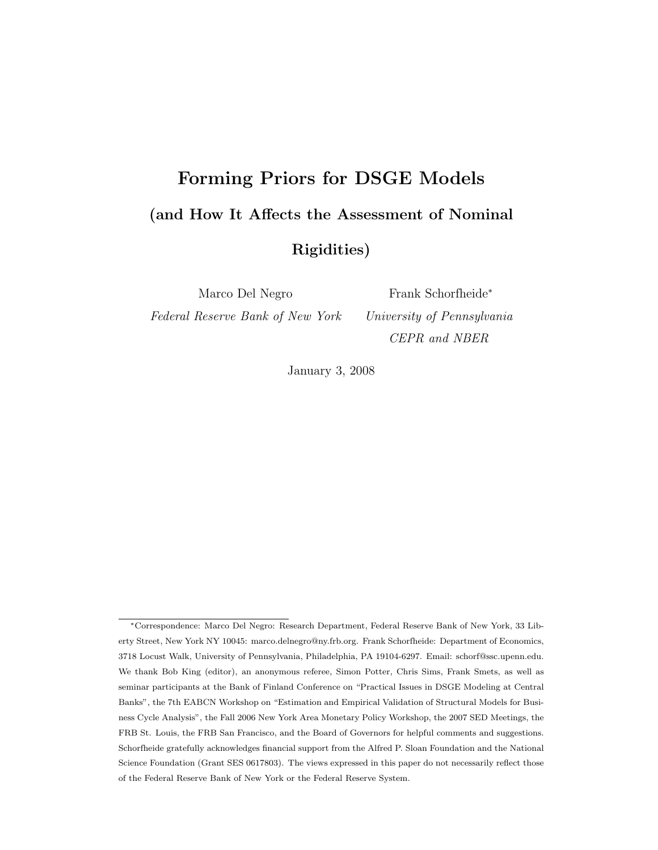# Forming Priors for DSGE Models (and How It Affects the Assessment of Nominal Rigidities)

Marco Del Negro

Federal Reserve Bank of New York

Frank Schorfheide<sup>∗</sup> University of Pennsylvania CEPR and NBER

January 3, 2008

<sup>∗</sup>Correspondence: Marco Del Negro: Research Department, Federal Reserve Bank of New York, 33 Liberty Street, New York NY 10045: marco.delnegro@ny.frb.org. Frank Schorfheide: Department of Economics, 3718 Locust Walk, University of Pennsylvania, Philadelphia, PA 19104-6297. Email: schorf@ssc.upenn.edu. We thank Bob King (editor), an anonymous referee, Simon Potter, Chris Sims, Frank Smets, as well as seminar participants at the Bank of Finland Conference on "Practical Issues in DSGE Modeling at Central Banks", the 7th EABCN Workshop on "Estimation and Empirical Validation of Structural Models for Business Cycle Analysis", the Fall 2006 New York Area Monetary Policy Workshop, the 2007 SED Meetings, the FRB St. Louis, the FRB San Francisco, and the Board of Governors for helpful comments and suggestions. Schorfheide gratefully acknowledges financial support from the Alfred P. Sloan Foundation and the National Science Foundation (Grant SES 0617803). The views expressed in this paper do not necessarily reflect those of the Federal Reserve Bank of New York or the Federal Reserve System.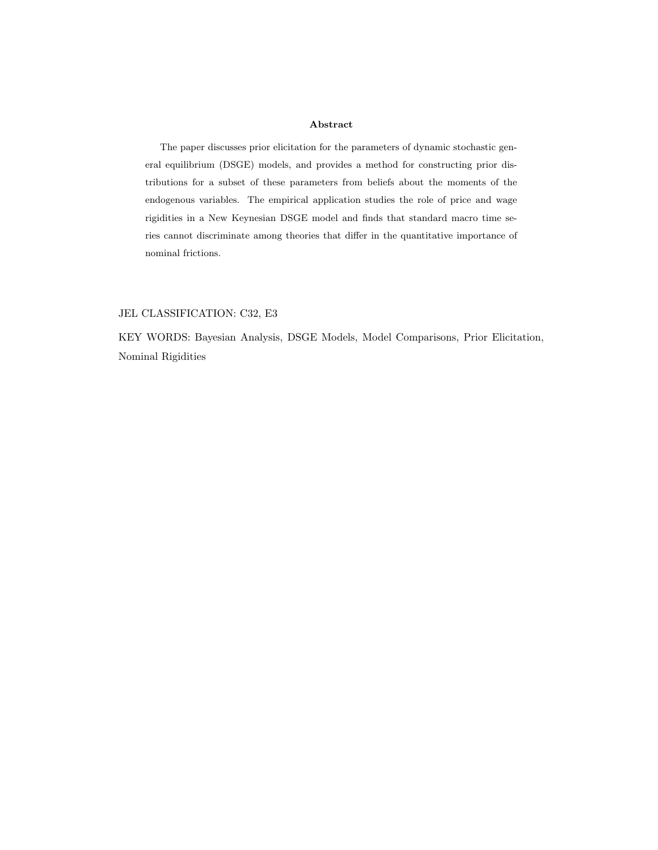#### Abstract

The paper discusses prior elicitation for the parameters of dynamic stochastic general equilibrium (DSGE) models, and provides a method for constructing prior distributions for a subset of these parameters from beliefs about the moments of the endogenous variables. The empirical application studies the role of price and wage rigidities in a New Keynesian DSGE model and finds that standard macro time series cannot discriminate among theories that differ in the quantitative importance of nominal frictions.

## JEL CLASSIFICATION: C32, E3

KEY WORDS: Bayesian Analysis, DSGE Models, Model Comparisons, Prior Elicitation, Nominal Rigidities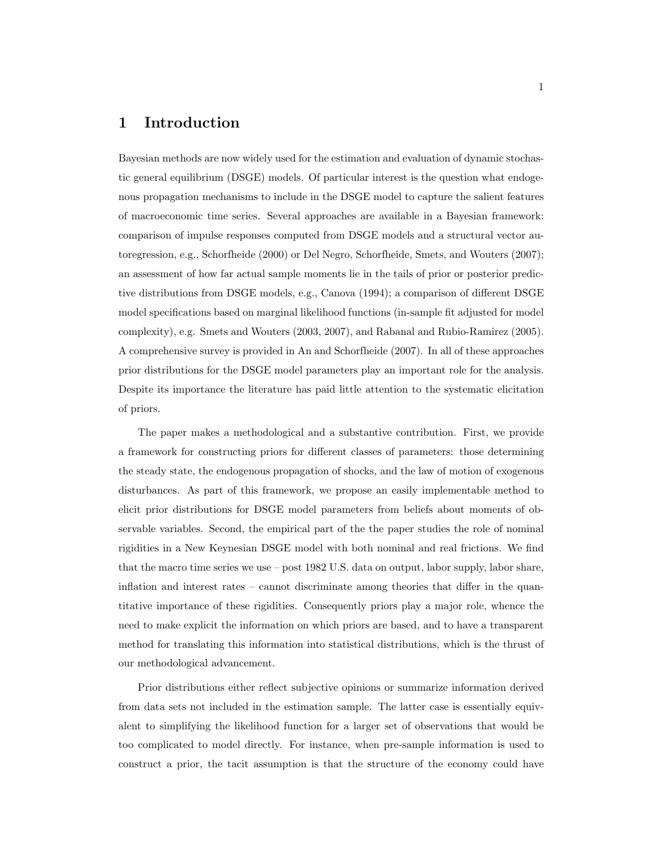# 1 Introduction

Bayesian methods are now widely used for the estimation and evaluation of dynamic stochastic general equilibrium (DSGE) models. Of particular interest is the question what endogenous propagation mechanisms to include in the DSGE model to capture the salient features of macroeconomic time series. Several approaches are available in a Bayesian framework: comparison of impulse responses computed from DSGE models and a structural vector autoregression, e.g., Schorfheide (2000) or Del Negro, Schorfheide, Smets, and Wouters (2007); an assessment of how far actual sample moments lie in the tails of prior or posterior predictive distributions from DSGE models, e.g., Canova (1994); a comparison of different DSGE model specifications based on marginal likelihood functions (in-sample fit adjusted for model complexity), e.g. Smets and Wouters (2003, 2007), and Rabanal and Rubio-Ramirez (2005). A comprehensive survey is provided in An and Schorfheide (2007). In all of these approaches prior distributions for the DSGE model parameters play an important role for the analysis. Despite its importance the literature has paid little attention to the systematic elicitation of priors.

The paper makes a methodological and a substantive contribution. First, we provide a framework for constructing priors for different classes of parameters: those determining the steady state, the endogenous propagation of shocks, and the law of motion of exogenous disturbances. As part of this framework, we propose an easily implementable method to elicit prior distributions for DSGE model parameters from beliefs about moments of observable variables. Second, the empirical part of the the paper studies the role of nominal rigidities in a New Keynesian DSGE model with both nominal and real frictions. We find that the macro time series we use – post 1982 U.S. data on output, labor supply, labor share, inflation and interest rates – cannot discriminate among theories that differ in the quantitative importance of these rigidities. Consequently priors play a major role, whence the need to make explicit the information on which priors are based, and to have a transparent method for translating this information into statistical distributions, which is the thrust of our methodological advancement.

Prior distributions either reflect subjective opinions or summarize information derived from data sets not included in the estimation sample. The latter case is essentially equivalent to simplifying the likelihood function for a larger set of observations that would be too complicated to model directly. For instance, when pre-sample information is used to construct a prior, the tacit assumption is that the structure of the economy could have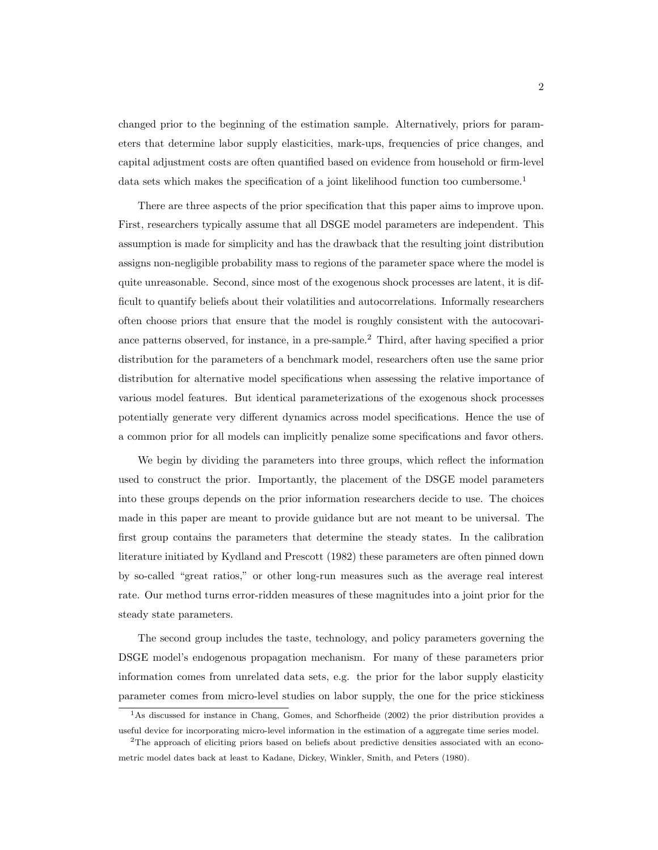changed prior to the beginning of the estimation sample. Alternatively, priors for parameters that determine labor supply elasticities, mark-ups, frequencies of price changes, and capital adjustment costs are often quantified based on evidence from household or firm-level data sets which makes the specification of a joint likelihood function too cumbersome.<sup>1</sup>

There are three aspects of the prior specification that this paper aims to improve upon. First, researchers typically assume that all DSGE model parameters are independent. This assumption is made for simplicity and has the drawback that the resulting joint distribution assigns non-negligible probability mass to regions of the parameter space where the model is quite unreasonable. Second, since most of the exogenous shock processes are latent, it is difficult to quantify beliefs about their volatilities and autocorrelations. Informally researchers often choose priors that ensure that the model is roughly consistent with the autocovariance patterns observed, for instance, in a pre-sample.<sup>2</sup> Third, after having specified a prior distribution for the parameters of a benchmark model, researchers often use the same prior distribution for alternative model specifications when assessing the relative importance of various model features. But identical parameterizations of the exogenous shock processes potentially generate very different dynamics across model specifications. Hence the use of a common prior for all models can implicitly penalize some specifications and favor others.

We begin by dividing the parameters into three groups, which reflect the information used to construct the prior. Importantly, the placement of the DSGE model parameters into these groups depends on the prior information researchers decide to use. The choices made in this paper are meant to provide guidance but are not meant to be universal. The first group contains the parameters that determine the steady states. In the calibration literature initiated by Kydland and Prescott (1982) these parameters are often pinned down by so-called "great ratios," or other long-run measures such as the average real interest rate. Our method turns error-ridden measures of these magnitudes into a joint prior for the steady state parameters.

The second group includes the taste, technology, and policy parameters governing the DSGE model's endogenous propagation mechanism. For many of these parameters prior information comes from unrelated data sets, e.g. the prior for the labor supply elasticity parameter comes from micro-level studies on labor supply, the one for the price stickiness

<sup>&</sup>lt;sup>1</sup>As discussed for instance in Chang, Gomes, and Schorfheide (2002) the prior distribution provides a useful device for incorporating micro-level information in the estimation of a aggregate time series model.

<sup>2</sup>The approach of eliciting priors based on beliefs about predictive densities associated with an econometric model dates back at least to Kadane, Dickey, Winkler, Smith, and Peters (1980).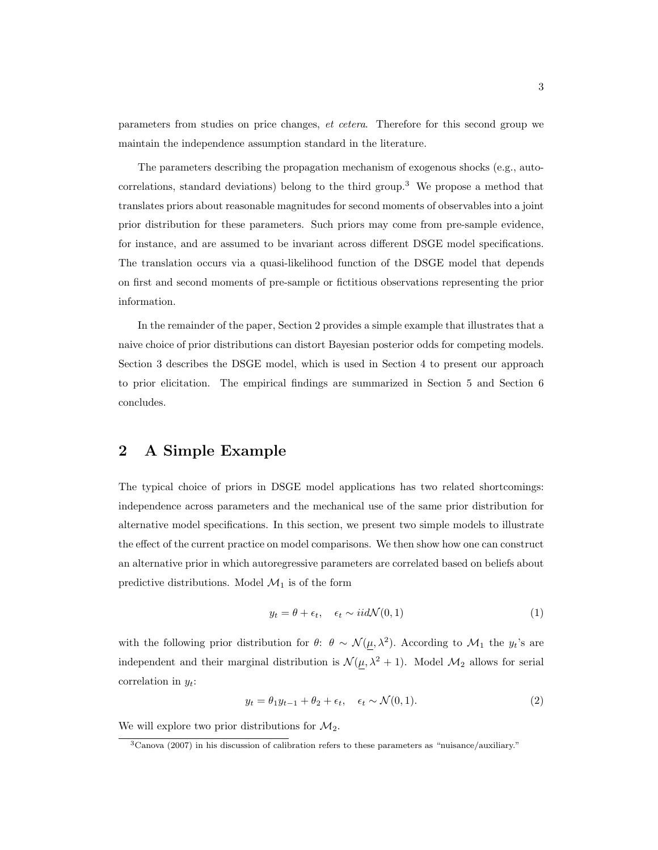parameters from studies on price changes, et cetera. Therefore for this second group we maintain the independence assumption standard in the literature.

The parameters describing the propagation mechanism of exogenous shocks (e.g., autocorrelations, standard deviations) belong to the third group.<sup>3</sup> We propose a method that translates priors about reasonable magnitudes for second moments of observables into a joint prior distribution for these parameters. Such priors may come from pre-sample evidence, for instance, and are assumed to be invariant across different DSGE model specifications. The translation occurs via a quasi-likelihood function of the DSGE model that depends on first and second moments of pre-sample or fictitious observations representing the prior information.

In the remainder of the paper, Section 2 provides a simple example that illustrates that a naive choice of prior distributions can distort Bayesian posterior odds for competing models. Section 3 describes the DSGE model, which is used in Section 4 to present our approach to prior elicitation. The empirical findings are summarized in Section 5 and Section 6 concludes.

# 2 A Simple Example

The typical choice of priors in DSGE model applications has two related shortcomings: independence across parameters and the mechanical use of the same prior distribution for alternative model specifications. In this section, we present two simple models to illustrate the effect of the current practice on model comparisons. We then show how one can construct an alternative prior in which autoregressive parameters are correlated based on beliefs about predictive distributions. Model  $\mathcal{M}_1$  is of the form

$$
y_t = \theta + \epsilon_t, \quad \epsilon_t \sim \text{iid}\mathcal{N}(0, 1) \tag{1}
$$

with the following prior distribution for  $\theta$ :  $\theta \sim \mathcal{N}(\mu, \lambda^2)$ . According to  $\mathcal{M}_1$  the  $y_t$ 's are independent and their marginal distribution is  $\mathcal{N}(\underline{\mu}, \lambda^2 + 1)$ . Model  $\mathcal{M}_2$  allows for serial correlation in  $y_t$ :

$$
y_t = \theta_1 y_{t-1} + \theta_2 + \epsilon_t, \quad \epsilon_t \sim \mathcal{N}(0, 1). \tag{2}
$$

We will explore two prior distributions for  $\mathcal{M}_2$ .

<sup>3</sup>Canova (2007) in his discussion of calibration refers to these parameters as "nuisance/auxiliary."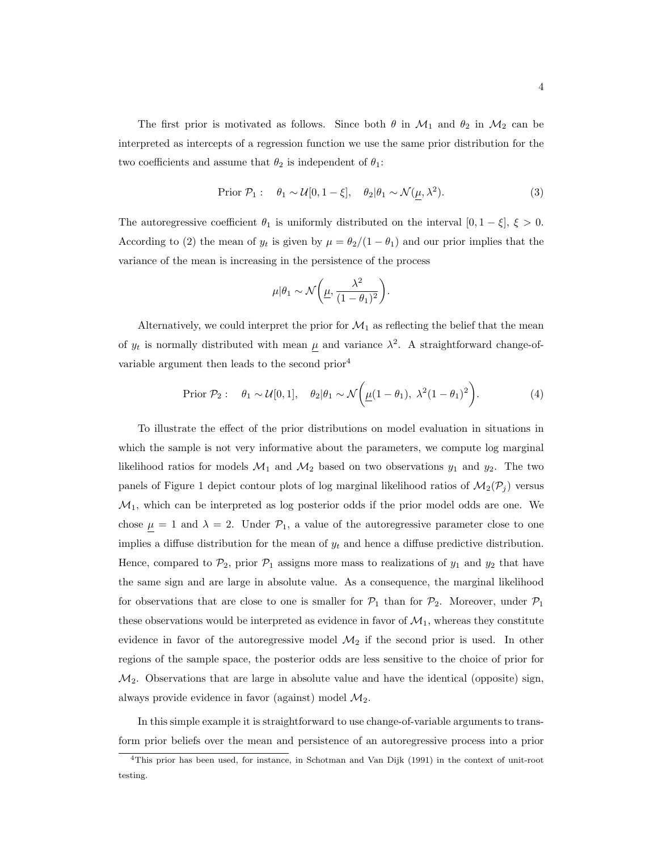The first prior is motivated as follows. Since both  $\theta$  in  $\mathcal{M}_1$  and  $\theta_2$  in  $\mathcal{M}_2$  can be interpreted as intercepts of a regression function we use the same prior distribution for the two coefficients and assume that  $\theta_2$  is independent of  $\theta_1$ :

$$
\text{Prior } \mathcal{P}_1: \quad \theta_1 \sim \mathcal{U}[0, 1 - \xi], \quad \theta_2 | \theta_1 \sim \mathcal{N}(\mu, \lambda^2). \tag{3}
$$

The autoregressive coefficient  $\theta_1$  is uniformly distributed on the interval  $[0, 1 - \xi], \xi > 0$ . According to (2) the mean of  $y_t$  is given by  $\mu = \theta_2/(1 - \theta_1)$  and our prior implies that the variance of the mean is increasing in the persistence of the process

$$
\mu|\theta_1 \sim \mathcal{N}\bigg(\underline{\mu}, \frac{\lambda^2}{(1-\theta_1)^2}\bigg).
$$

Alternatively, we could interpret the prior for  $\mathcal{M}_1$  as reflecting the belief that the mean of  $y_t$  is normally distributed with mean  $\mu$  and variance  $\lambda^2$ . A straightforward change-ofvariable argument then leads to the second prior<sup>4</sup>

$$
\text{Prior } \mathcal{P}_2: \quad \theta_1 \sim \mathcal{U}[0,1], \quad \theta_2 | \theta_1 \sim \mathcal{N}\bigg(\underline{\mu}(1-\theta_1), \ \lambda^2(1-\theta_1)^2\bigg). \tag{4}
$$

To illustrate the effect of the prior distributions on model evaluation in situations in which the sample is not very informative about the parameters, we compute log marginal likelihood ratios for models  $\mathcal{M}_1$  and  $\mathcal{M}_2$  based on two observations  $y_1$  and  $y_2$ . The two panels of Figure 1 depict contour plots of log marginal likelihood ratios of  $\mathcal{M}_2(\mathcal{P}_j)$  versus  $\mathcal{M}_1$ , which can be interpreted as log posterior odds if the prior model odds are one. We chose  $\mu = 1$  and  $\lambda = 2$ . Under  $\mathcal{P}_1$ , a value of the autoregressive parameter close to one implies a diffuse distribution for the mean of  $y_t$  and hence a diffuse predictive distribution. Hence, compared to  $\mathcal{P}_2$ , prior  $\mathcal{P}_1$  assigns more mass to realizations of  $y_1$  and  $y_2$  that have the same sign and are large in absolute value. As a consequence, the marginal likelihood for observations that are close to one is smaller for  $\mathcal{P}_1$  than for  $\mathcal{P}_2$ . Moreover, under  $\mathcal{P}_1$ these observations would be interpreted as evidence in favor of  $\mathcal{M}_1$ , whereas they constitute evidence in favor of the autoregressive model  $\mathcal{M}_2$  if the second prior is used. In other regions of the sample space, the posterior odds are less sensitive to the choice of prior for  $\mathcal{M}_2$ . Observations that are large in absolute value and have the identical (opposite) sign, always provide evidence in favor (against) model  $\mathcal{M}_2$ .

In this simple example it is straightforward to use change-of-variable arguments to transform prior beliefs over the mean and persistence of an autoregressive process into a prior

<sup>4</sup>This prior has been used, for instance, in Schotman and Van Dijk (1991) in the context of unit-root testing.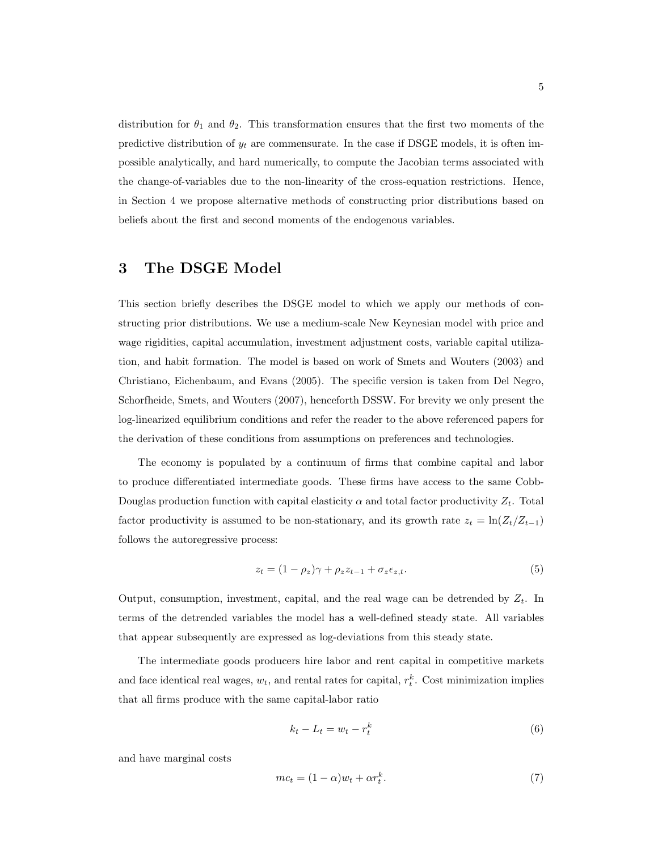distribution for  $\theta_1$  and  $\theta_2$ . This transformation ensures that the first two moments of the predictive distribution of  $y_t$  are commensurate. In the case if DSGE models, it is often impossible analytically, and hard numerically, to compute the Jacobian terms associated with the change-of-variables due to the non-linearity of the cross-equation restrictions. Hence, in Section 4 we propose alternative methods of constructing prior distributions based on beliefs about the first and second moments of the endogenous variables.

# 3 The DSGE Model

This section briefly describes the DSGE model to which we apply our methods of constructing prior distributions. We use a medium-scale New Keynesian model with price and wage rigidities, capital accumulation, investment adjustment costs, variable capital utilization, and habit formation. The model is based on work of Smets and Wouters (2003) and Christiano, Eichenbaum, and Evans (2005). The specific version is taken from Del Negro, Schorfheide, Smets, and Wouters (2007), henceforth DSSW. For brevity we only present the log-linearized equilibrium conditions and refer the reader to the above referenced papers for the derivation of these conditions from assumptions on preferences and technologies.

The economy is populated by a continuum of firms that combine capital and labor to produce differentiated intermediate goods. These firms have access to the same Cobb-Douglas production function with capital elasticity  $\alpha$  and total factor productivity  $Z_t$ . Total factor productivity is assumed to be non-stationary, and its growth rate  $z_t = \ln(Z_t/Z_{t-1})$ follows the autoregressive process:

$$
z_t = (1 - \rho_z)\gamma + \rho_z z_{t-1} + \sigma_z \epsilon_{z,t}.
$$
\n
$$
(5)
$$

Output, consumption, investment, capital, and the real wage can be detrended by  $Z_t$ . In terms of the detrended variables the model has a well-defined steady state. All variables that appear subsequently are expressed as log-deviations from this steady state.

The intermediate goods producers hire labor and rent capital in competitive markets and face identical real wages,  $w_t$ , and rental rates for capital,  $r_t^k$ . Cost minimization implies that all firms produce with the same capital-labor ratio

$$
k_t - L_t = w_t - r_t^k \tag{6}
$$

and have marginal costs

$$
mc_t = (1 - \alpha)w_t + \alpha r_t^k. \tag{7}
$$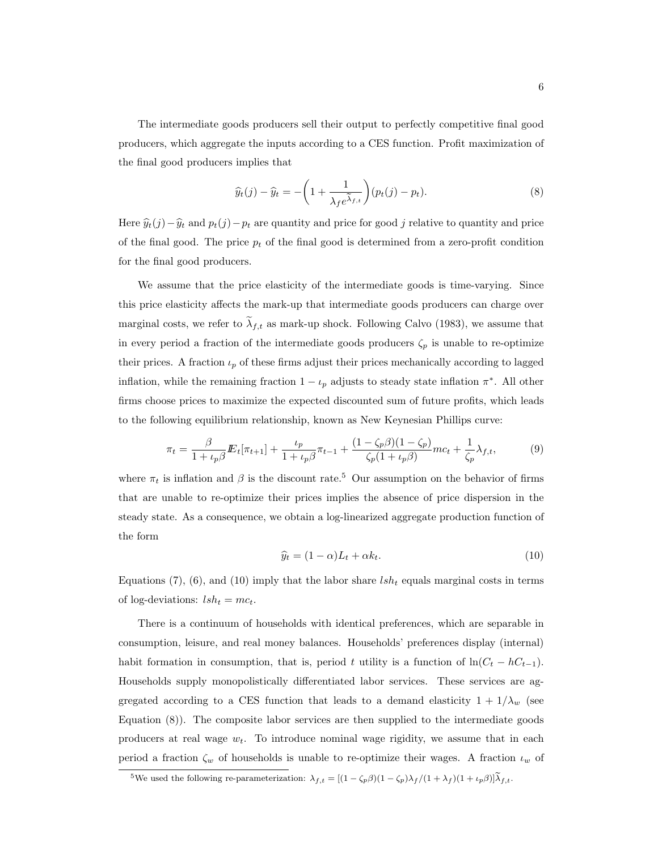The intermediate goods producers sell their output to perfectly competitive final good producers, which aggregate the inputs according to a CES function. Profit maximization of the final good producers implies that

implies that  
\n
$$
\widehat{y}_t(j) - \widehat{y}_t = -\left(1 + \frac{1}{\lambda_f e^{\widetilde{\lambda}_{f,t}}}\right)(p_t(j) - p_t).
$$
\n(8)

Here  $\hat{y}_t(j) - \hat{y}_t$  and  $p_t(j) - p_t$  are quantity and price for good j relative to quantity and price of the final good. The price  $p_t$  of the final good is determined from a zero-profit condition for the final good producers.

We assume that the price elasticity of the intermediate goods is time-varying. Since this price elasticity affects the mark-up that intermediate goods producers can charge over marginal costs, we refer to  $\lambda_{f,t}$  as mark-up shock. Following Calvo (1983), we assume that in every period a fraction of the intermediate goods producers  $\zeta_p$  is unable to re-optimize their prices. A fraction  $\iota_p$  of these firms adjust their prices mechanically according to lagged inflation, while the remaining fraction  $1 - \iota_p$  adjusts to steady state inflation  $\pi^*$ . All other firms choose prices to maximize the expected discounted sum of future profits, which leads to the following equilibrium relationship, known as New Keynesian Phillips curve:

$$
\pi_t = \frac{\beta}{1 + \iota_p \beta} E_t[\pi_{t+1}] + \frac{\iota_p}{1 + \iota_p \beta} \pi_{t-1} + \frac{(1 - \zeta_p \beta)(1 - \zeta_p)}{\zeta_p (1 + \iota_p \beta)} m c_t + \frac{1}{\zeta_p} \lambda_{f,t},\tag{9}
$$

where  $\pi_t$  is inflation and  $\beta$  is the discount rate.<sup>5</sup> Our assumption on the behavior of firms that are unable to re-optimize their prices implies the absence of price dispersion in the steady state. As a consequence, we obtain a log-linearized aggregate production function of the form

$$
\widehat{y}_t = (1 - \alpha)L_t + \alpha k_t. \tag{10}
$$

Equations (7), (6), and (10) imply that the labor share  $lsh_t$  equals marginal costs in terms of log-deviations:  $lsh_t = mc_t$ .

There is a continuum of households with identical preferences, which are separable in consumption, leisure, and real money balances. Households' preferences display (internal) habit formation in consumption, that is, period t utility is a function of  $\ln(C_t - hC_{t-1})$ . Households supply monopolistically differentiated labor services. These services are aggregated according to a CES function that leads to a demand elasticity  $1 + 1/\lambda_w$  (see Equation (8)). The composite labor services are then supplied to the intermediate goods producers at real wage  $w_t$ . To introduce nominal wage rigidity, we assume that in each period a fraction  $\zeta_w$  of households is unable to re-optimize their wages. A fraction  $\iota_w$  of

<sup>&</sup>lt;sup>5</sup>We used the following re-parameterization:  $\lambda_{f,t} = [(1 - \zeta_p \beta)(1 - \zeta_p)\lambda_f/(1 + \lambda_f)(1 + \iota_p \beta)]\tilde{\lambda}_{f,t}$ .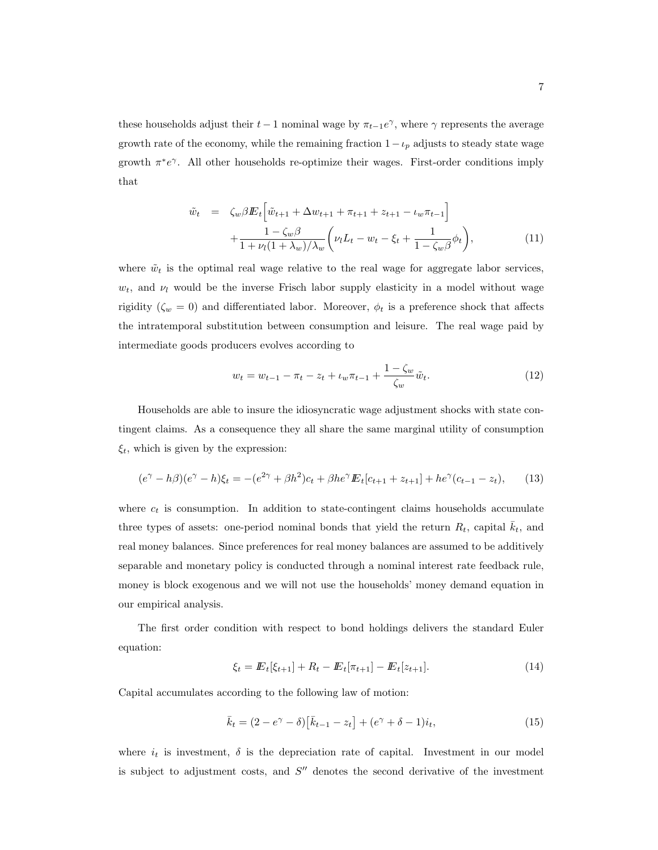these households adjust their  $t-1$  nominal wage by  $\pi_{t-1}e^{\gamma}$ , where  $\gamma$  represents the average growth rate of the economy, while the remaining fraction  $1-\iota_p$  adjusts to steady state wage growth  $\pi^*e^{\gamma}$ . All other households re-optimize their wages. First-order conditions imply that

$$
\tilde{w}_t = \zeta_w \beta E_t \left[ \tilde{w}_{t+1} + \Delta w_{t+1} + \pi_{t+1} + z_{t+1} - \iota_w \pi_{t-1} \right] \n+ \frac{1 - \zeta_w \beta}{1 + \nu_l (1 + \lambda_w) / \lambda_w} \left( \nu_l L_t - w_t - \xi_t + \frac{1}{1 - \zeta_w \beta} \phi_t \right),
$$
\n(11)

where  $\tilde{w}_t$  is the optimal real wage relative to the real wage for aggregate labor services,  $w_t$ , and  $\nu_l$  would be the inverse Frisch labor supply elasticity in a model without wage rigidity ( $\zeta_w = 0$ ) and differentiated labor. Moreover,  $\phi_t$  is a preference shock that affects the intratemporal substitution between consumption and leisure. The real wage paid by intermediate goods producers evolves according to

$$
w_t = w_{t-1} - \pi_t - z_t + \iota_w \pi_{t-1} + \frac{1 - \zeta_w}{\zeta_w} \tilde{w}_t.
$$
 (12)

Households are able to insure the idiosyncratic wage adjustment shocks with state contingent claims. As a consequence they all share the same marginal utility of consumption  $\xi_t$ , which is given by the expression:

$$
(e^{\gamma} - h\beta)(e^{\gamma} - h)\xi_t = -(e^{2\gamma} + \beta h^2)c_t + \beta h e^{\gamma} E_t[c_{t+1} + z_{t+1}] + h e^{\gamma}(c_{t-1} - z_t), \qquad (13)
$$

where  $c_t$  is consumption. In addition to state-contingent claims households accumulate three types of assets: one-period nominal bonds that yield the return  $R_t$ , capital  $k_t$ , and real money balances. Since preferences for real money balances are assumed to be additively separable and monetary policy is conducted through a nominal interest rate feedback rule, money is block exogenous and we will not use the households' money demand equation in our empirical analysis.

The first order condition with respect to bond holdings delivers the standard Euler equation:

$$
\xi_t = \mathbb{E}_t[\xi_{t+1}] + R_t - \mathbb{E}_t[\pi_{t+1}] - \mathbb{E}_t[z_{t+1}]. \tag{14}
$$

Capital accumulates according to the following law of motion:

$$
\bar{k}_t = (2 - e^{\gamma} - \delta) [\bar{k}_{t-1} - z_t] + (e^{\gamma} + \delta - 1)i_t,
$$
\n(15)

where  $i_t$  is investment,  $\delta$  is the depreciation rate of capital. Investment in our model is subject to adjustment costs, and  $S''$  denotes the second derivative of the investment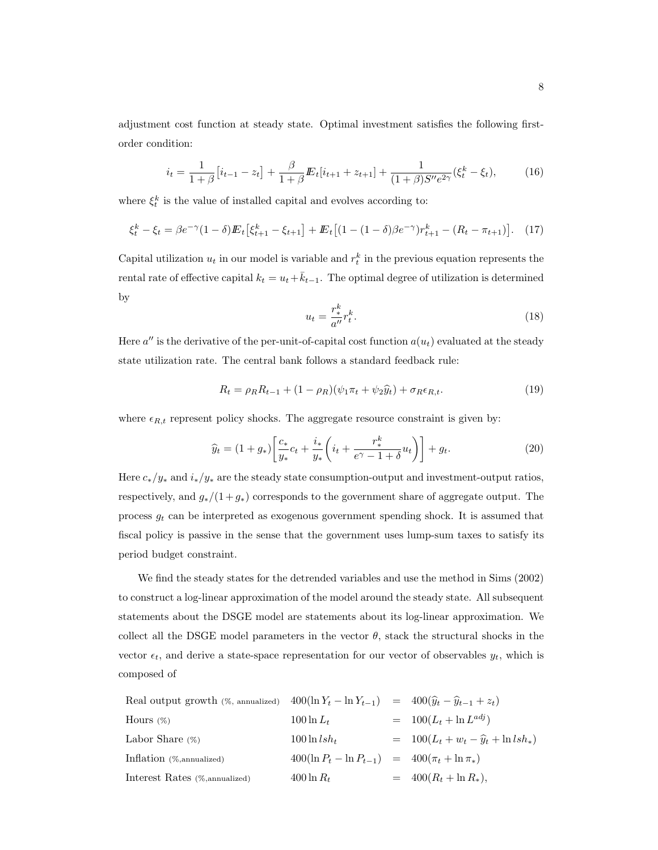adjustment cost function at steady state. Optimal investment satisfies the following firstorder condition:

$$
i_t = \frac{1}{1+\beta} \left[ i_{t-1} - z_t \right] + \frac{\beta}{1+\beta} \mathbf{E}_t[i_{t+1} + z_{t+1}] + \frac{1}{(1+\beta)S''e^{2\gamma}} (\xi_t^k - \xi_t),\tag{16}
$$

where  $\xi_t^k$  is the value of installed capital and evolves according to:

$$
\xi_t^k - \xi_t = \beta e^{-\gamma} (1 - \delta) E_t \left[ \xi_{t+1}^k - \xi_{t+1} \right] + E_t \left[ (1 - (1 - \delta) \beta e^{-\gamma}) r_{t+1}^k - (R_t - \pi_{t+1}) \right]. \tag{17}
$$

Capital utilization  $u_t$  in our model is variable and  $r_t^k$  in the previous equation represents the rental rate of effective capital  $k_t = u_t + \bar{k}_{t-1}$ . The optimal degree of utilization is determined by

$$
u_t = \frac{r_*^k}{a''} r_t^k. \tag{18}
$$

Here  $a''$  is the derivative of the per-unit-of-capital cost function  $a(u_t)$  evaluated at the steady state utilization rate. The central bank follows a standard feedback rule:

$$
R_t = \rho_R R_{t-1} + (1 - \rho_R)(\psi_1 \pi_t + \psi_2 \hat{y}_t) + \sigma_R \epsilon_{R,t}.
$$
\n
$$
(19)
$$

where  $\epsilon_{R,t}$  represent policy shocks. The aggregate resource constraint is given by:

$$
\widehat{y}_t = (1 + g_*) \left[ \frac{c_*}{y_*} c_t + \frac{i_*}{y_*} \left( i_t + \frac{r_*^k}{e^{\gamma} - 1 + \delta} u_t \right) \right] + g_t.
$$
\n(20)

Here  $c_*/y_*$  and  $i_*/y_*$  are the steady state consumption-output and investment-output ratios, respectively, and  $g_*/(1+g_*)$  corresponds to the government share of aggregate output. The process  $g_t$  can be interpreted as exogenous government spending shock. It is assumed that fiscal policy is passive in the sense that the government uses lump-sum taxes to satisfy its period budget constraint.

We find the steady states for the detrended variables and use the method in Sims (2002) to construct a log-linear approximation of the model around the steady state. All subsequent statements about the DSGE model are statements about its log-linear approximation. We collect all the DSGE model parameters in the vector  $\theta$ , stack the structural shocks in the vector  $\epsilon_t$ , and derive a state-space representation for our vector of observables  $y_t$ , which is composed of

Real output growth (%), annualized  
\nHours (%)
$$
400(\ln Y_t - \ln Y_{t-1}) = 400(\hat{y}_t - \hat{y}_{t-1} + z_t)
$$
\nHours (%)
$$
100 \ln L_t = 100(L_t + \ln L^{adj})
$$
\nLabor Share (%)
$$
100 \ln lsh_t = 100(L_t + w_t - \hat{y}_t + \ln lsh_*)
$$
\nInflation (%)
$$
400(\ln P_t - \ln P_{t-1}) = 400(\pi_t + \ln \pi_t)
$$
\nInterest Rates (%)
$$
400 \ln R_t = 400(R_t + \ln R_*)
$$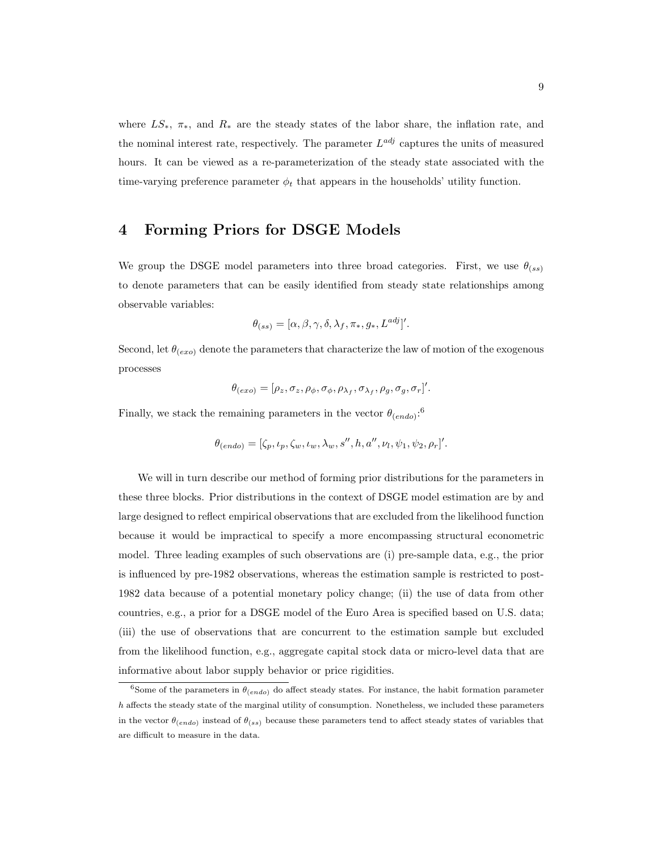where  $LS_*$ ,  $\pi_*$ , and  $R_*$  are the steady states of the labor share, the inflation rate, and the nominal interest rate, respectively. The parameter  $L^{adj}$  captures the units of measured hours. It can be viewed as a re-parameterization of the steady state associated with the time-varying preference parameter  $\phi_t$  that appears in the households' utility function.

## 4 Forming Priors for DSGE Models

We group the DSGE model parameters into three broad categories. First, we use  $\theta_{(ss)}$ to denote parameters that can be easily identified from steady state relationships among observable variables:

$$
\theta_{(ss)} = [\alpha, \beta, \gamma, \delta, \lambda_f, \pi_*, g_*, L^{adj}].
$$

Second, let  $\theta_{(exo)}$  denote the parameters that characterize the law of motion of the exogenous processes

$$
\theta_{(exo)} = [\rho_z, \sigma_z, \rho_\phi, \sigma_\phi, \rho_{\lambda_f}, \sigma_{\lambda_f}, \rho_g, \sigma_g, \sigma_r]'
$$

Finally, we stack the remaining parameters in the vector  $\theta_{(endo)}$ <sup>6</sup>

$$
\theta_{(endo)} = [\zeta_p, \iota_p, \zeta_w, \iota_w, \lambda_w, s'', h, a'', \nu_l, \psi_1, \psi_2, \rho_r]'
$$

We will in turn describe our method of forming prior distributions for the parameters in these three blocks. Prior distributions in the context of DSGE model estimation are by and large designed to reflect empirical observations that are excluded from the likelihood function because it would be impractical to specify a more encompassing structural econometric model. Three leading examples of such observations are (i) pre-sample data, e.g., the prior is influenced by pre-1982 observations, whereas the estimation sample is restricted to post-1982 data because of a potential monetary policy change; (ii) the use of data from other countries, e.g., a prior for a DSGE model of the Euro Area is specified based on U.S. data; (iii) the use of observations that are concurrent to the estimation sample but excluded from the likelihood function, e.g., aggregate capital stock data or micro-level data that are informative about labor supply behavior or price rigidities.

<sup>&</sup>lt;sup>6</sup>Some of the parameters in  $\theta_{(endo)}$  do affect steady states. For instance, the habit formation parameter  $h$  affects the steady state of the marginal utility of consumption. Nonetheless, we included these parameters in the vector  $\theta_{(endo)}$  instead of  $\theta_{(ss)}$  because these parameters tend to affect steady states of variables that are difficult to measure in the data.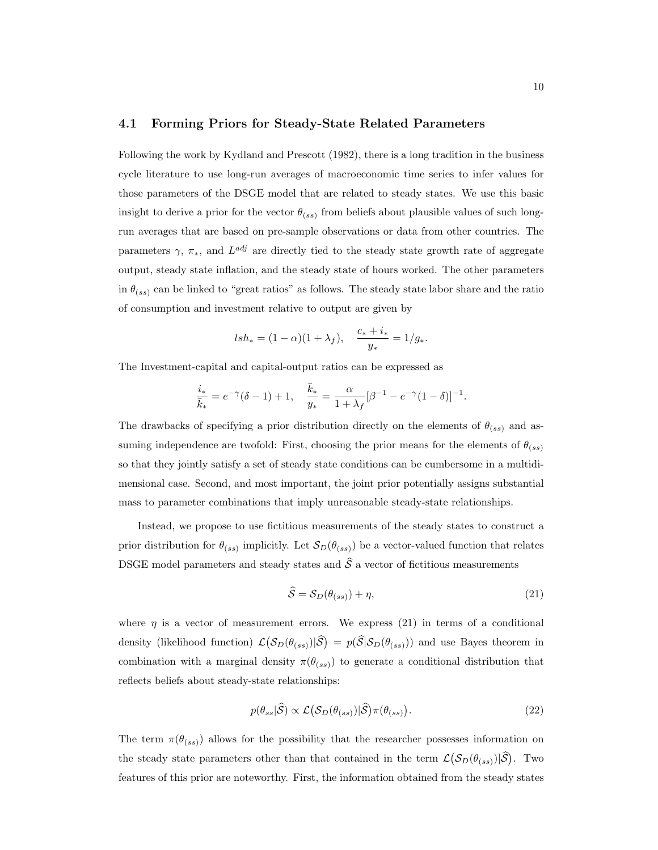## 4.1 Forming Priors for Steady-State Related Parameters

Following the work by Kydland and Prescott (1982), there is a long tradition in the business cycle literature to use long-run averages of macroeconomic time series to infer values for those parameters of the DSGE model that are related to steady states. We use this basic insight to derive a prior for the vector  $\theta_{(ss)}$  from beliefs about plausible values of such longrun averages that are based on pre-sample observations or data from other countries. The parameters  $\gamma$ ,  $\pi_*$ , and  $L^{adj}$  are directly tied to the steady state growth rate of aggregate output, steady state inflation, and the steady state of hours worked. The other parameters in  $\theta_{(ss)}$  can be linked to "great ratios" as follows. The steady state labor share and the ratio of consumption and investment relative to output are given by

$$
lsh_* = (1 - \alpha)(1 + \lambda_f), \quad \frac{c_* + i_*}{y_*} = 1/g_*.
$$

The Investment-capital and capital-output ratios can be expressed as

$$
\frac{i_*}{\bar{k}_*} = e^{-\gamma}(\delta - 1) + 1, \quad \frac{\bar{k}_*}{y_*} = \frac{\alpha}{1 + \lambda_f}[\beta^{-1} - e^{-\gamma}(1 - \delta)]^{-1}.
$$

The drawbacks of specifying a prior distribution directly on the elements of  $\theta_{(ss)}$  and assuming independence are twofold: First, choosing the prior means for the elements of  $\theta_{(ss)}$ so that they jointly satisfy a set of steady state conditions can be cumbersome in a multidimensional case. Second, and most important, the joint prior potentially assigns substantial mass to parameter combinations that imply unreasonable steady-state relationships.

Instead, we propose to use fictitious measurements of the steady states to construct a prior distribution for  $\theta_{(ss)}$  implicitly. Let  $\mathcal{S}_D(\theta_{(ss)})$  be a vector-valued function that relates DSGE model parameters and steady states and  $\hat{S}$  a vector of fictitious measurements

$$
\widehat{S} = S_D(\theta_{(ss)}) + \eta,\tag{21}
$$

where  $\eta$  is a vector of measurement errors. We express (21) in terms of a conditional density (likelihood function)  $\mathcal{L}(\mathcal{S}_D(\theta_{(ss)})|\hat{\mathcal{S}}) = p(\hat{\mathcal{S}}|\mathcal{S}_D(\theta_{(ss)}))$  and use Bayes theorem in combination with a marginal density  $\pi(\theta_{(ss)})$  to generate a conditional distribution that reflects beliefs about steady-state relationships:

$$
p(\theta_{ss}|\hat{\mathcal{S}}) \propto \mathcal{L}\big(\mathcal{S}_D(\theta_{(ss)})|\hat{\mathcal{S}}\big)\pi(\theta_{(ss)}).
$$
\n(22)

The term  $\pi(\theta_{(ss)})$  allows for the possibility that the researcher possesses information on the steady state parameters other than that contained in the term  $\mathcal{L}(\mathcal{S}_D(\theta_{(ss)})|\hat{\mathcal{S}})$ . Two features of this prior are noteworthy. First, the information obtained from the steady states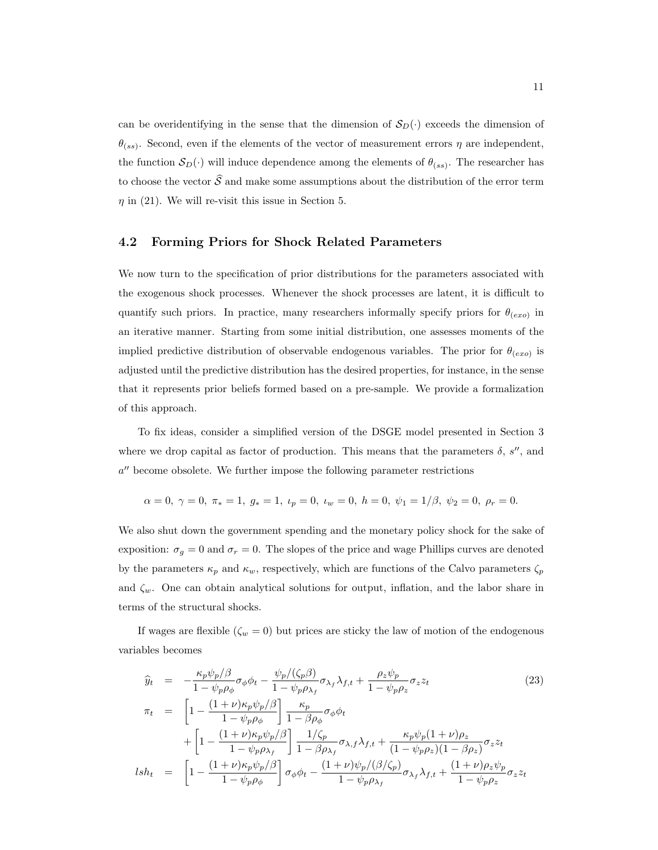can be overidentifying in the sense that the dimension of  $S_D(\cdot)$  exceeds the dimension of  $\theta_{(ss)}$ . Second, even if the elements of the vector of measurement errors  $\eta$  are independent, the function  $S_D(\cdot)$  will induce dependence among the elements of  $\theta_{(ss)}$ . The researcher has to choose the vector  $\hat{S}$  and make some assumptions about the distribution of the error term  $\eta$  in (21). We will re-visit this issue in Section 5.

## 4.2 Forming Priors for Shock Related Parameters

We now turn to the specification of prior distributions for the parameters associated with the exogenous shock processes. Whenever the shock processes are latent, it is difficult to quantify such priors. In practice, many researchers informally specify priors for  $\theta_{(exo)}$  in an iterative manner. Starting from some initial distribution, one assesses moments of the implied predictive distribution of observable endogenous variables. The prior for  $\theta_{(exo)}$  is adjusted until the predictive distribution has the desired properties, for instance, in the sense that it represents prior beliefs formed based on a pre-sample. We provide a formalization of this approach.

To fix ideas, consider a simplified version of the DSGE model presented in Section 3 where we drop capital as factor of production. This means that the parameters  $\delta$ , s'', and a" become obsolete. We further impose the following parameter restrictions

$$
\alpha = 0, \ \gamma = 0, \ \pi_* = 1, \ g_* = 1, \ \iota_p = 0, \ \iota_w = 0, \ h = 0, \ \psi_1 = 1/\beta, \ \psi_2 = 0, \ \rho_r = 0.
$$

We also shut down the government spending and the monetary policy shock for the sake of exposition:  $\sigma_g = 0$  and  $\sigma_r = 0$ . The slopes of the price and wage Phillips curves are denoted by the parameters  $\kappa_p$  and  $\kappa_w$ , respectively, which are functions of the Calvo parameters  $\zeta_p$ and  $\zeta_w$ . One can obtain analytical solutions for output, inflation, and the labor share in terms of the structural shocks.

If wages are flexible  $(\zeta_w = 0)$  but prices are sticky the law of motion of the endogenous variables becomes

$$
\hat{y}_t = -\frac{\kappa_p \psi_p/\beta}{1 - \psi_p \rho_\phi} \sigma_\phi \phi_t - \frac{\psi_p/(\zeta_p \beta)}{1 - \psi_p \rho_{\lambda_f}} \sigma_{\lambda_f} \lambda_{f,t} + \frac{\rho_z \psi_p}{1 - \psi_p \rho_z} \sigma_z z_t
$$
\n
$$
\pi_t = \left[1 - \frac{(1 + \nu)\kappa_p \psi_p/\beta}{1 - \psi_p \rho_\phi}\right] \frac{\kappa_p}{1 - \beta \rho_\phi} \sigma_\phi \phi_t
$$
\n
$$
+ \left[1 - \frac{(1 + \nu)\kappa_p \psi_p/\beta}{1 - \psi_p \rho_{\lambda_f}}\right] \frac{1/\zeta_p}{1 - \beta \rho_{\lambda_f}} \sigma_{\lambda,f} \lambda_{f,t} + \frac{\kappa_p \psi_p (1 + \nu)\rho_z}{(1 - \psi_p \rho_z)(1 - \beta \rho_z)} \sigma_z z_t
$$
\n
$$
lsh_t = \left[1 - \frac{(1 + \nu)\kappa_p \psi_p/\beta}{1 - \psi_p \rho_\phi}\right] \sigma_\phi \phi_t - \frac{(1 + \nu)\psi_p/(\beta/\zeta_p)}{1 - \psi_p \rho_{\lambda_f}} \sigma_{\lambda_f} \lambda_{f,t} + \frac{(1 + \nu)\rho_z \psi_p}{1 - \psi_p \rho_z} \sigma_z z_t
$$
\n
$$
(23)
$$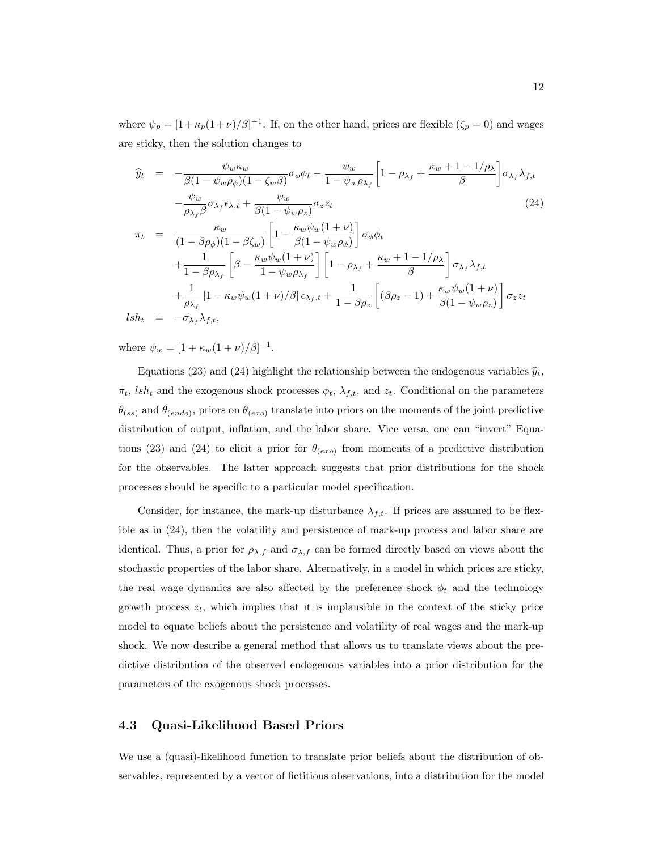where  $\psi_p = [1 + \kappa_p(1+\nu)/\beta]^{-1}$ . If, on the other hand, prices are flexible  $(\zeta_p = 0)$  and wages are sticky, then the solution changes to

$$
\hat{y}_t = -\frac{\psi_w \kappa_w}{\beta (1 - \psi_w \rho_\phi)(1 - \zeta_w \beta)} \sigma_\phi \phi_t - \frac{\psi_w}{1 - \psi_w \rho_{\lambda_f}} \left[ 1 - \rho_{\lambda_f} + \frac{\kappa_w + 1 - 1/\rho_\lambda}{\beta} \right] \sigma_{\lambda_f} \lambda_{f,t} \n- \frac{\psi_w}{\rho_{\lambda_f} \beta} \sigma_{\lambda_f} \epsilon_{\lambda,t} + \frac{\psi_w}{\beta (1 - \psi_w \rho_z)} \sigma_z z_t
$$
\n(24)

$$
\pi_t = \frac{\kappa_w}{(1 - \beta \rho_\phi)(1 - \beta \zeta_w)} \left[ 1 - \frac{\kappa_w \psi_w (1 + \nu)}{\beta (1 - \psi_w \rho_\phi)} \right] \sigma_\phi \phi_t \n+ \frac{1}{1 - \beta \rho_{\lambda_f}} \left[ \beta - \frac{\kappa_w \psi_w (1 + \nu)}{1 - \psi_w \rho_{\lambda_f}} \right] \left[ 1 - \rho_{\lambda_f} + \frac{\kappa_w + 1 - 1/\rho_{\lambda}}{\beta} \right] \sigma_{\lambda_f} \lambda_{f,t} \n+ \frac{1}{\rho_{\lambda_f}} \left[ 1 - \kappa_w \psi_w (1 + \nu)/\beta \right] \epsilon_{\lambda_f, t} + \frac{1}{1 - \beta \rho_z} \left[ (\beta \rho_z - 1) + \frac{\kappa_w \psi_w (1 + \nu)}{\beta (1 - \psi_w \rho_z)} \right] \sigma_z z_t \nlsh_t = -\sigma_{\lambda_f} \lambda_{f,t},
$$

where  $\psi_w = [1 + \kappa_w(1 + \nu)/\beta]^{-1}$ .

Equations (23) and (24) highlight the relationship between the endogenous variables  $\hat{y}_t$ ,  $\pi_t$ , *lsh<sub>t</sub>* and the exogenous shock processes  $\phi_t$ ,  $\lambda_{f,t}$ , and  $z_t$ . Conditional on the parameters  $\theta_{(ss)}$  and  $\theta_{(endo)}$ , priors on  $\theta_{(exo)}$  translate into priors on the moments of the joint predictive distribution of output, inflation, and the labor share. Vice versa, one can "invert" Equations (23) and (24) to elicit a prior for  $\theta_{(exo)}$  from moments of a predictive distribution for the observables. The latter approach suggests that prior distributions for the shock processes should be specific to a particular model specification.

Consider, for instance, the mark-up disturbance  $\lambda_{f,t}$ . If prices are assumed to be flexible as in (24), then the volatility and persistence of mark-up process and labor share are identical. Thus, a prior for  $\rho_{\lambda,f}$  and  $\sigma_{\lambda,f}$  can be formed directly based on views about the stochastic properties of the labor share. Alternatively, in a model in which prices are sticky, the real wage dynamics are also affected by the preference shock  $\phi_t$  and the technology growth process  $z_t$ , which implies that it is implausible in the context of the sticky price model to equate beliefs about the persistence and volatility of real wages and the mark-up shock. We now describe a general method that allows us to translate views about the predictive distribution of the observed endogenous variables into a prior distribution for the parameters of the exogenous shock processes.

## 4.3 Quasi-Likelihood Based Priors

We use a (quasi)-likelihood function to translate prior beliefs about the distribution of observables, represented by a vector of fictitious observations, into a distribution for the model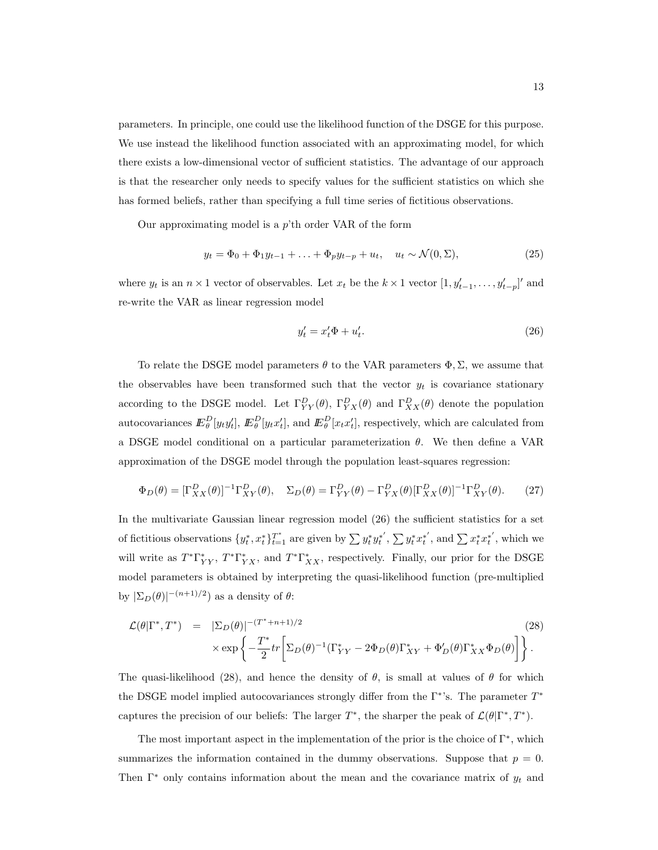parameters. In principle, one could use the likelihood function of the DSGE for this purpose. We use instead the likelihood function associated with an approximating model, for which there exists a low-dimensional vector of sufficient statistics. The advantage of our approach is that the researcher only needs to specify values for the sufficient statistics on which she has formed beliefs, rather than specifying a full time series of fictitious observations.

Our approximating model is a  $p^{\prime}$ th order VAR of the form

$$
y_t = \Phi_0 + \Phi_1 y_{t-1} + \ldots + \Phi_p y_{t-p} + u_t, \quad u_t \sim \mathcal{N}(0, \Sigma),
$$
\n(25)

where  $y_t$  is an  $n \times 1$  vector of observables. Let  $x_t$  be the  $k \times 1$  vector  $[1, y'_{t-1}, \ldots, y'_{t-p}]'$  and re-write the VAR as linear regression model

$$
y_t' = x_t' \Phi + u_t'.\tag{26}
$$

To relate the DSGE model parameters  $\theta$  to the VAR parameters  $\Phi$ ,  $\Sigma$ , we assume that the observables have been transformed such that the vector  $y_t$  is covariance stationary according to the DSGE model. Let  $\Gamma_{YY}^D(\theta)$ ,  $\Gamma_{YX}^D(\theta)$  and  $\Gamma_{XX}^D(\theta)$  denote the population autocovariances  $E_{\theta}^{D}[y_{t}y'_{t}], E_{\theta}^{D}[y_{t}x'_{t}],$  and  $E_{\theta}^{D}[x_{t}x'_{t}],$  respectively, which are calculated from a DSGE model conditional on a particular parameterization  $\theta$ . We then define a VAR approximation of the DSGE model through the population least-squares regression:

$$
\Phi_D(\theta) = [\Gamma^D_{XX}(\theta)]^{-1} \Gamma^D_{XY}(\theta), \quad \Sigma_D(\theta) = \Gamma^D_{YY}(\theta) - \Gamma^D_{YX}(\theta) [\Gamma^D_{XX}(\theta)]^{-1} \Gamma^D_{XY}(\theta). \tag{27}
$$

In the multivariate Gaussian linear regression model (26) the sufficient statistics for a set of fictitious observations  $\{y_t^*, x_t^*\}_{t=1}^T$  are given by  $\sum y_t^* y_t^{*'}$ ,  $\sum y_t^* x_t^{*'}$ , and  $\sum x_t^* x_t^{*'}$ , which we will write as  $T^*\Gamma^*_{YY}$ ,  $T^*\Gamma^*_{YX}$ , and  $T^*\Gamma^*_{XX}$ , respectively. Finally, our prior for the DSGE model parameters is obtained by interpreting the quasi-likelihood function (pre-multiplied by  $|\Sigma_D(\theta)|^{-(n+1)/2}$  as a density of  $\theta$ :

$$
\mathcal{L}(\theta|\Gamma^*,T^*) = |\Sigma_D(\theta)|^{-(T^*+n+1)/2} \tag{28}
$$
\n
$$
\times \exp\left\{-\frac{T^*}{2}tr\left[\Sigma_D(\theta)^{-1}(\Gamma^*_{YY} - 2\Phi_D(\theta)\Gamma^*_{XY} + \Phi'_D(\theta)\Gamma^*_{XX}\Phi_D(\theta)\right]\right\}.
$$

The quasi-likelihood (28), and hence the density of  $\theta$ , is small at values of  $\theta$  for which the DSGE model implied autocovariances strongly differ from the  $\Gamma^*$ 's. The parameter  $T^*$ captures the precision of our beliefs: The larger  $T^*$ , the sharper the peak of  $\mathcal{L}(\theta|\Gamma^*,T^*)$ .

The most important aspect in the implementation of the prior is the choice of  $\Gamma^*$ , which summarizes the information contained in the dummy observations. Suppose that  $p = 0$ . Then  $\Gamma^*$  only contains information about the mean and the covariance matrix of  $y_t$  and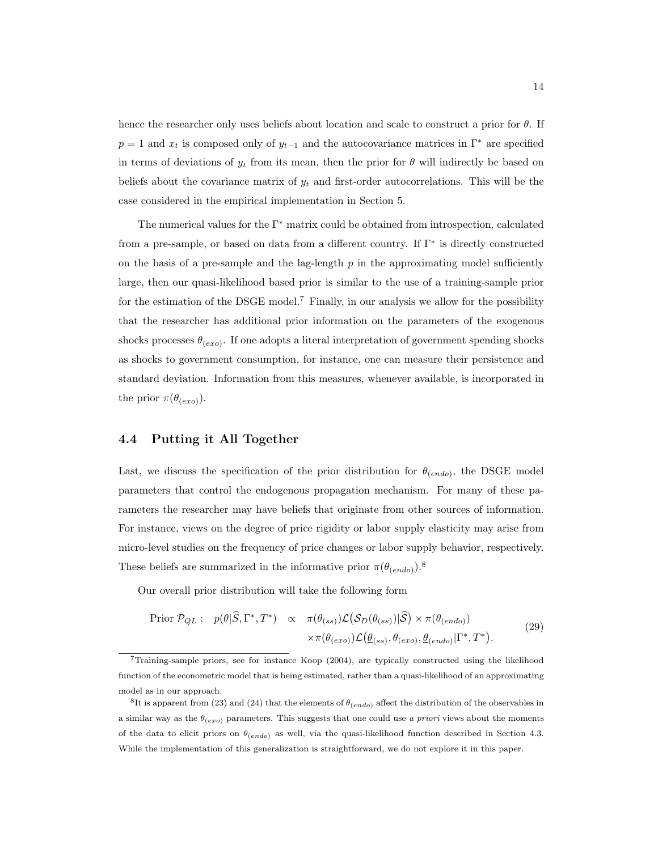hence the researcher only uses beliefs about location and scale to construct a prior for  $\theta$ . If  $p = 1$  and  $x_t$  is composed only of  $y_{t-1}$  and the autocovariance matrices in  $\Gamma^*$  are specified in terms of deviations of  $y_t$  from its mean, then the prior for  $\theta$  will indirectly be based on beliefs about the covariance matrix of  $y_t$  and first-order autocorrelations. This will be the case considered in the empirical implementation in Section 5.

The numerical values for the  $\Gamma^*$  matrix could be obtained from introspection, calculated from a pre-sample, or based on data from a different country. If Γ<sup>∗</sup> is directly constructed on the basis of a pre-sample and the lag-length  $p$  in the approximating model sufficiently large, then our quasi-likelihood based prior is similar to the use of a training-sample prior for the estimation of the DSGE model.<sup>7</sup> Finally, in our analysis we allow for the possibility that the researcher has additional prior information on the parameters of the exogenous shocks processes  $\theta_{(exo)}$ . If one adopts a literal interpretation of government spending shocks as shocks to government consumption, for instance, one can measure their persistence and standard deviation. Information from this measures, whenever available, is incorporated in the prior  $\pi(\theta_{(exo)})$ .

## 4.4 Putting it All Together

Last, we discuss the specification of the prior distribution for  $\theta_{(endo)}$ , the DSGE model parameters that control the endogenous propagation mechanism. For many of these parameters the researcher may have beliefs that originate from other sources of information. For instance, views on the degree of price rigidity or labor supply elasticity may arise from micro-level studies on the frequency of price changes or labor supply behavior, respectively. These beliefs are summarized in the informative prior  $\pi(\theta_{(endo)})$ .<sup>8</sup>

Our overall prior distribution will take the following form

$$
\text{Prior } \mathcal{P}_{QL} : \quad p(\theta | \hat{S}, \Gamma^*, T^*) \quad \propto \quad \pi(\theta_{(ss)}) \mathcal{L}(\mathcal{S}_D(\theta_{(ss)}) | \hat{S}) \times \pi(\theta_{(endo)}) \times \pi(\theta_{(exo)}) \mathcal{L}(\underline{\theta}_{(ss)}, \theta_{(exo)}, \underline{\theta}_{(endo)}) [\Gamma^*, T^*).
$$
\n
$$
(29)
$$

 $7$ Training-sample priors, see for instance Koop (2004), are typically constructed using the likelihood function of the econometric model that is being estimated, rather than a quasi-likelihood of an approximating model as in our approach.

<sup>&</sup>lt;sup>8</sup>It is apparent from (23) and (24) that the elements of  $\theta_{(endo)}$  affect the distribution of the observables in a similar way as the  $\theta_{(exo)}$  parameters. This suggests that one could use a priori views about the moments of the data to elicit priors on  $\theta_{(endo)}$  as well, via the quasi-likelihood function described in Section 4.3. While the implementation of this generalization is straightforward, we do not explore it in this paper.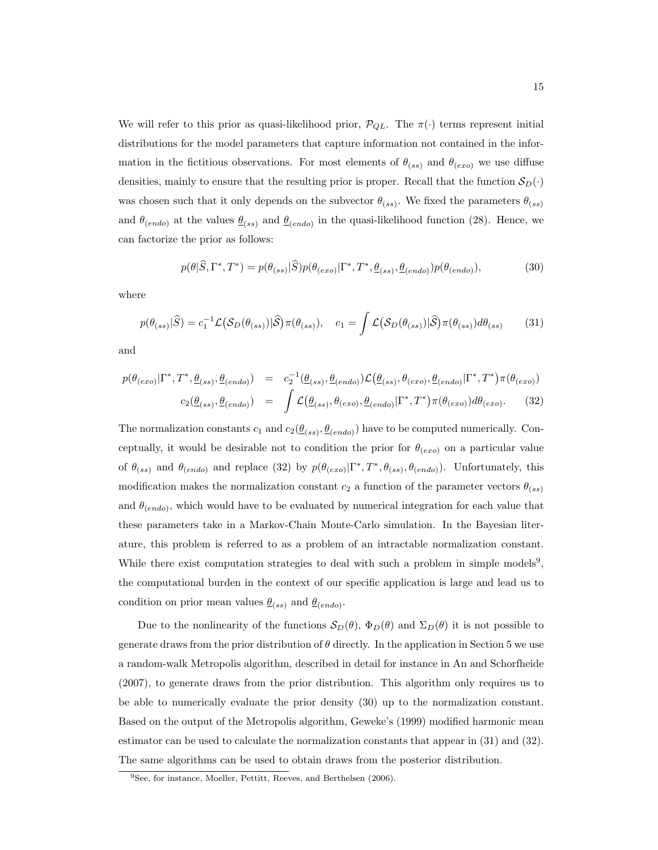We will refer to this prior as quasi-likelihood prior,  $\mathcal{P}_{QL}$ . The  $\pi(\cdot)$  terms represent initial distributions for the model parameters that capture information not contained in the information in the fictitious observations. For most elements of  $\theta_{(ss)}$  and  $\theta_{(exo)}$  we use diffuse densities, mainly to ensure that the resulting prior is proper. Recall that the function  $S_D(\cdot)$ was chosen such that it only depends on the subvector  $\theta_{(ss)}$ . We fixed the parameters  $\theta_{(ss)}$ and  $\theta_{(endo)}$  at the values  $\underline{\theta}_{(ss)}$  and  $\underline{\theta}_{(endo)}$  in the quasi-likelihood function (28). Hence, we can factorize the prior as follows:

$$
p(\theta|\widehat{S},\Gamma^*,T^*) = p(\theta_{(ss)}|\widehat{S})p(\theta_{(exo)}|\Gamma^*,T^*,\underline{\theta}_{(ss)},\underline{\theta}_{(endo)})p(\theta_{(endo)}),\tag{30}
$$

where

$$
p(\theta_{(ss)}|\widehat{S}) = c_1^{-1} \mathcal{L}(\mathcal{S}_D(\theta_{(ss)})|\widehat{S}) \pi(\theta_{(ss)}), \quad c_1 = \int \mathcal{L}(\mathcal{S}_D(\theta_{(ss)})|\widehat{S}) \pi(\theta_{(ss)}) d\theta_{(ss)} \tag{31}
$$

and

$$
p(\theta_{(exo)}|\Gamma^*,T^*,\underline{\theta}_{(ss)},\underline{\theta}_{(endo)}) = c_2^{-1}(\underline{\theta}_{(ss)},\underline{\theta}_{(endo)})\mathcal{L}(\underline{\theta}_{(ss)},\theta_{(exo)},\underline{\theta}_{(endo)}|\Gamma^*,T^*)\pi(\theta_{(exo)})
$$
  

$$
c_2(\underline{\theta}_{(ss)},\underline{\theta}_{(endo)}) = \int \mathcal{L}(\underline{\theta}_{(ss)},\theta_{(exo)},\underline{\theta}_{(endo)}|\Gamma^*,T^*)\pi(\theta_{(exo)})d\theta_{(exo)}.
$$
 (32)

The normalization constants  $c_1$  and  $c_2(\underline{\theta}_{(ss)}, \underline{\theta}_{(endo)})$  have to be computed numerically. Conceptually, it would be desirable not to condition the prior for  $\theta_{(exo)}$  on a particular value of  $\theta_{(ss)}$  and  $\theta_{(endo)}$  and replace (32) by  $p(\theta_{(exo)} | \Gamma^*, T^*, \theta_{(ss)}, \theta_{(endo)})$ . Unfortunately, this modification makes the normalization constant  $c_2$  a function of the parameter vectors  $\theta_{(ss)}$ and  $\theta_{(endo)}$ , which would have to be evaluated by numerical integration for each value that these parameters take in a Markov-Chain Monte-Carlo simulation. In the Bayesian literature, this problem is referred to as a problem of an intractable normalization constant. While there exist computation strategies to deal with such a problem in simple models<sup>9</sup>, the computational burden in the context of our specific application is large and lead us to condition on prior mean values  $\underline{\theta}_{(ss)}$  and  $\underline{\theta}_{(endo)}$ .

Due to the nonlinearity of the functions  $\mathcal{S}_D(\theta)$ ,  $\Phi_D(\theta)$  and  $\Sigma_D(\theta)$  it is not possible to generate draws from the prior distribution of  $\theta$  directly. In the application in Section 5 we use a random-walk Metropolis algorithm, described in detail for instance in An and Schorfheide (2007), to generate draws from the prior distribution. This algorithm only requires us to be able to numerically evaluate the prior density (30) up to the normalization constant. Based on the output of the Metropolis algorithm, Geweke's (1999) modified harmonic mean estimator can be used to calculate the normalization constants that appear in (31) and (32). The same algorithms can be used to obtain draws from the posterior distribution.

<sup>&</sup>lt;sup>9</sup>See, for instance, Moeller, Pettitt, Reeves, and Berthelsen (2006).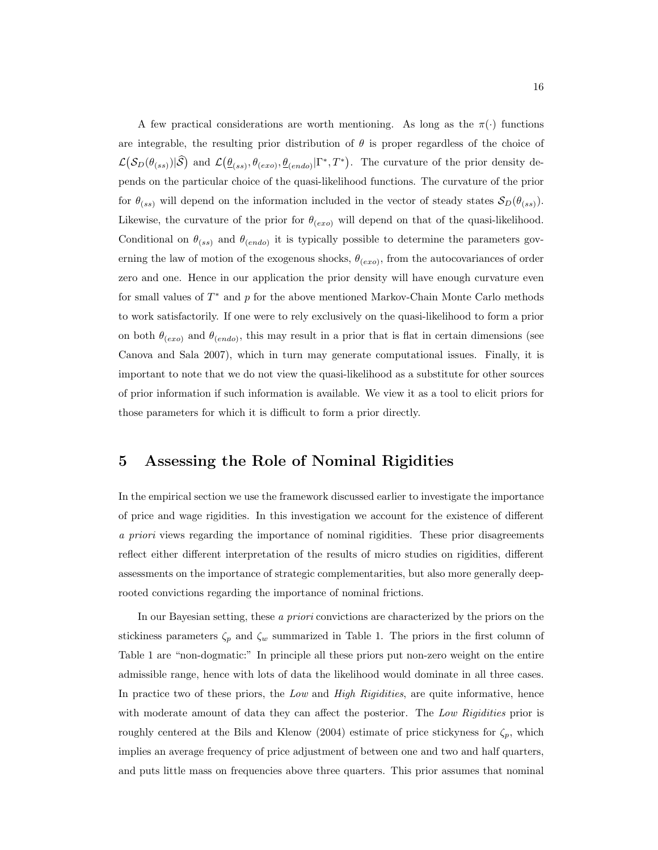A few practical considerations are worth mentioning. As long as the  $\pi(\cdot)$  functions are integrable, the resulting prior distribution of  $\theta$  is proper regardless of the choice of  $\mathcal{L}(\mathcal{S}_D(\theta_{(ss)})|\hat{\mathcal{S}})$  and  $\mathcal{L}(\underline{\theta}_{(ss)}, \theta_{(exo)}, \underline{\theta}_{(endo)} | \Gamma^*, T^*)$ . The curvature of the prior density depends on the particular choice of the quasi-likelihood functions. The curvature of the prior for  $\theta_{(ss)}$  will depend on the information included in the vector of steady states  $S_D(\theta_{(ss)})$ . Likewise, the curvature of the prior for  $\theta_{(exo)}$  will depend on that of the quasi-likelihood. Conditional on  $\theta_{(ss)}$  and  $\theta_{(endo)}$  it is typically possible to determine the parameters governing the law of motion of the exogenous shocks,  $\theta_{(exo)}$ , from the autocovariances of order zero and one. Hence in our application the prior density will have enough curvature even for small values of  $T^*$  and  $p$  for the above mentioned Markov-Chain Monte Carlo methods to work satisfactorily. If one were to rely exclusively on the quasi-likelihood to form a prior on both  $\theta_{(exo)}$  and  $\theta_{(endo)}$ , this may result in a prior that is flat in certain dimensions (see Canova and Sala 2007), which in turn may generate computational issues. Finally, it is important to note that we do not view the quasi-likelihood as a substitute for other sources of prior information if such information is available. We view it as a tool to elicit priors for those parameters for which it is difficult to form a prior directly.

## 5 Assessing the Role of Nominal Rigidities

In the empirical section we use the framework discussed earlier to investigate the importance of price and wage rigidities. In this investigation we account for the existence of different a priori views regarding the importance of nominal rigidities. These prior disagreements reflect either different interpretation of the results of micro studies on rigidities, different assessments on the importance of strategic complementarities, but also more generally deeprooted convictions regarding the importance of nominal frictions.

In our Bayesian setting, these a priori convictions are characterized by the priors on the stickiness parameters  $\zeta_p$  and  $\zeta_w$  summarized in Table 1. The priors in the first column of Table 1 are "non-dogmatic:" In principle all these priors put non-zero weight on the entire admissible range, hence with lots of data the likelihood would dominate in all three cases. In practice two of these priors, the Low and High Rigidities, are quite informative, hence with moderate amount of data they can affect the posterior. The Low Rigidities prior is roughly centered at the Bils and Klenow (2004) estimate of price stickyness for  $\zeta_p$ , which implies an average frequency of price adjustment of between one and two and half quarters, and puts little mass on frequencies above three quarters. This prior assumes that nominal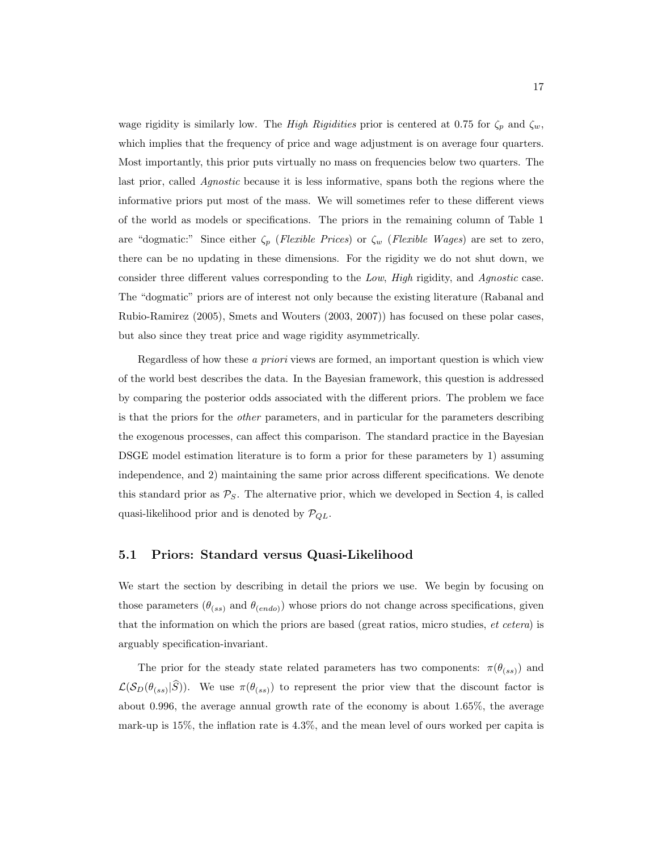wage rigidity is similarly low. The High Rigidities prior is centered at 0.75 for  $\zeta_p$  and  $\zeta_w$ , which implies that the frequency of price and wage adjustment is on average four quarters. Most importantly, this prior puts virtually no mass on frequencies below two quarters. The last prior, called *Agnostic* because it is less informative, spans both the regions where the informative priors put most of the mass. We will sometimes refer to these different views of the world as models or specifications. The priors in the remaining column of Table 1 are "dogmatic:" Since either  $\zeta_p$  (Flexible Prices) or  $\zeta_w$  (Flexible Wages) are set to zero, there can be no updating in these dimensions. For the rigidity we do not shut down, we consider three different values corresponding to the Low, High rigidity, and Agnostic case. The "dogmatic" priors are of interest not only because the existing literature (Rabanal and Rubio-Ramirez (2005), Smets and Wouters (2003, 2007)) has focused on these polar cases, but also since they treat price and wage rigidity asymmetrically.

Regardless of how these a priori views are formed, an important question is which view of the world best describes the data. In the Bayesian framework, this question is addressed by comparing the posterior odds associated with the different priors. The problem we face is that the priors for the *other* parameters, and in particular for the parameters describing the exogenous processes, can affect this comparison. The standard practice in the Bayesian DSGE model estimation literature is to form a prior for these parameters by 1) assuming independence, and 2) maintaining the same prior across different specifications. We denote this standard prior as  $P<sub>S</sub>$ . The alternative prior, which we developed in Section 4, is called quasi-likelihood prior and is denoted by  $\mathcal{P}_{QL}$ .

## 5.1 Priors: Standard versus Quasi-Likelihood

We start the section by describing in detail the priors we use. We begin by focusing on those parameters  $(\theta_{(ss)}$  and  $\theta_{(endo)})$  whose priors do not change across specifications, given that the information on which the priors are based (great ratios, micro studies, et cetera) is arguably specification-invariant.

The prior for the steady state related parameters has two components:  $\pi(\theta_{(ss)})$  and  $\mathcal{L}(\mathcal{S}_D(\theta_{(ss)}|S))$ . We use  $\pi(\theta_{(ss)})$  to represent the prior view that the discount factor is about 0.996, the average annual growth rate of the economy is about 1.65%, the average mark-up is 15%, the inflation rate is 4.3%, and the mean level of ours worked per capita is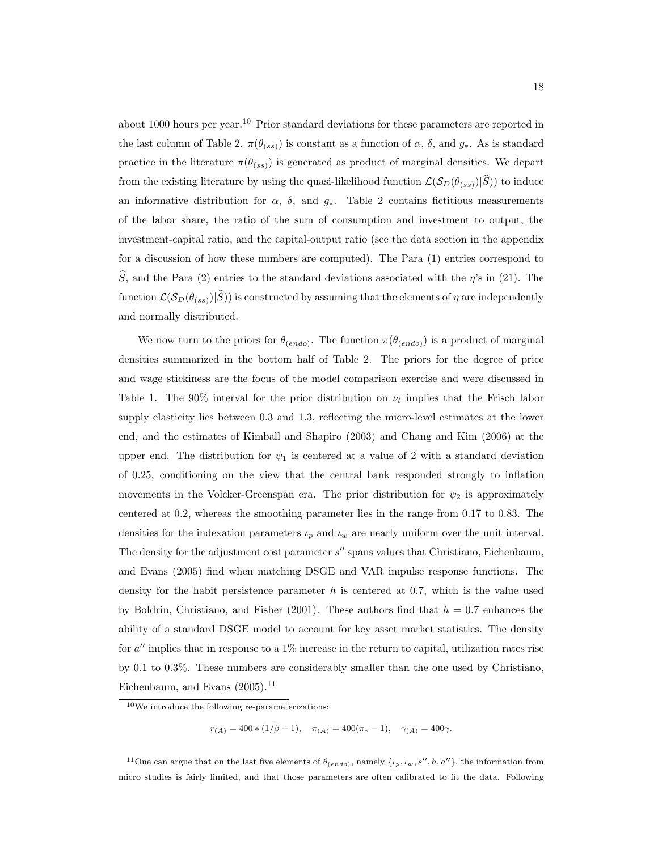about 1000 hours per year.<sup>10</sup> Prior standard deviations for these parameters are reported in the last column of Table 2.  $\pi(\theta_{(ss)})$  is constant as a function of  $\alpha$ ,  $\delta$ , and  $g_*$ . As is standard practice in the literature  $\pi(\theta_{(ss)})$  is generated as product of marginal densities. We depart from the existing literature by using the quasi-likelihood function  $\mathcal{L}(\mathcal{S}_D(\theta_{(ss)})|S)$ ) to induce an informative distribution for  $\alpha$ ,  $\delta$ , and  $g_*$ . Table 2 contains fictitious measurements of the labor share, the ratio of the sum of consumption and investment to output, the investment-capital ratio, and the capital-output ratio (see the data section in the appendix for a discussion of how these numbers are computed). The Para (1) entries correspond to  $\hat{S}$ , and the Para (2) entries to the standard deviations associated with the  $\eta$ 's in (21). The function  $\mathcal{L}(\mathcal{S}_D(\theta_{(ss)})|\widehat{S})$ ) is constructed by assuming that the elements of  $\eta$  are independently and normally distributed.

We now turn to the priors for  $\theta_{(endo)}$ . The function  $\pi(\theta_{(endo)})$  is a product of marginal densities summarized in the bottom half of Table 2. The priors for the degree of price and wage stickiness are the focus of the model comparison exercise and were discussed in Table 1. The 90% interval for the prior distribution on  $\nu_l$  implies that the Frisch labor supply elasticity lies between 0.3 and 1.3, reflecting the micro-level estimates at the lower end, and the estimates of Kimball and Shapiro (2003) and Chang and Kim (2006) at the upper end. The distribution for  $\psi_1$  is centered at a value of 2 with a standard deviation of 0.25, conditioning on the view that the central bank responded strongly to inflation movements in the Volcker-Greenspan era. The prior distribution for  $\psi_2$  is approximately centered at 0.2, whereas the smoothing parameter lies in the range from 0.17 to 0.83. The densities for the indexation parameters  $\iota_p$  and  $\iota_w$  are nearly uniform over the unit interval. The density for the adjustment cost parameter  $s''$  spans values that Christiano, Eichenbaum, and Evans (2005) find when matching DSGE and VAR impulse response functions. The density for the habit persistence parameter  $h$  is centered at 0.7, which is the value used by Boldrin, Christiano, and Fisher (2001). These authors find that  $h = 0.7$  enhances the ability of a standard DSGE model to account for key asset market statistics. The density for  $a''$  implies that in response to a 1% increase in the return to capital, utilization rates rise by 0.1 to 0.3%. These numbers are considerably smaller than the one used by Christiano, Eichenbaum, and Evans  $(2005).$ <sup>11</sup>

 $r_{(A)} = 400 * (1/\beta - 1), \quad \pi_{(A)} = 400(\pi_{*} - 1), \quad \gamma_{(A)} = 400\gamma.$ 

<sup>11</sup>One can argue that on the last five elements of  $\theta_{(endo)}$ , namely  $\{\iota_p, \iota_w, s'', h, a''\}$ , the information from micro studies is fairly limited, and that those parameters are often calibrated to fit the data. Following

 $\rm ^{10}We$  introduce the following re-parameterizations: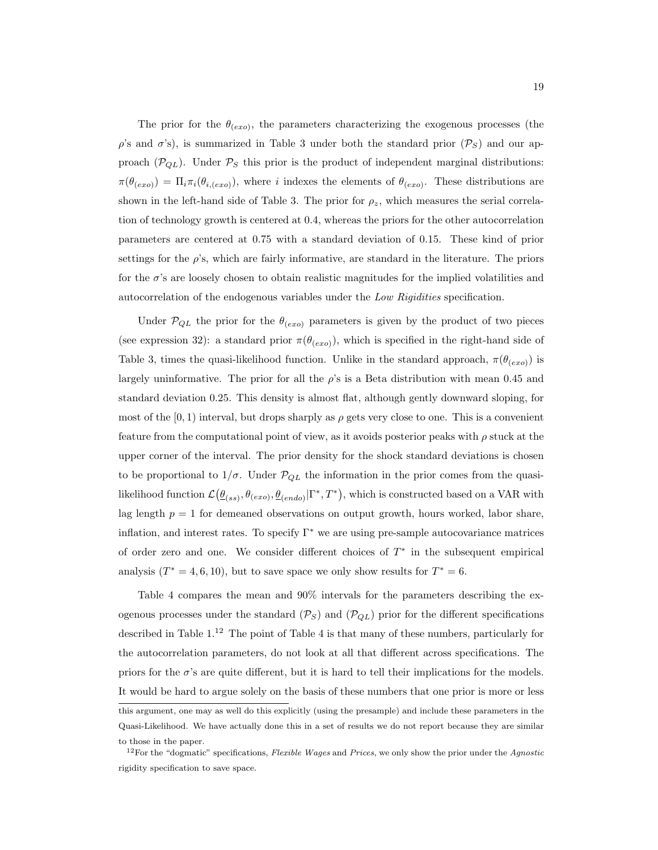The prior for the  $\theta_{(exo)}$ , the parameters characterizing the exogenous processes (the  $\rho$ 's and  $\sigma$ 's), is summarized in Table 3 under both the standard prior  $(\mathcal{P}_S)$  and our approach ( $\mathcal{P}_{QL}$ ). Under  $\mathcal{P}_S$  this prior is the product of independent marginal distributions:  $\pi(\theta_{(exo)}) = \Pi_i \pi_i(\theta_{i,(exo)})$ , where i indexes the elements of  $\theta_{(exo)}$ . These distributions are shown in the left-hand side of Table 3. The prior for  $\rho_z$ , which measures the serial correlation of technology growth is centered at 0.4, whereas the priors for the other autocorrelation parameters are centered at 0.75 with a standard deviation of 0.15. These kind of prior settings for the  $\rho$ 's, which are fairly informative, are standard in the literature. The priors for the  $\sigma$ 's are loosely chosen to obtain realistic magnitudes for the implied volatilities and autocorrelation of the endogenous variables under the Low Rigidities specification.

Under  $\mathcal{P}_{QL}$  the prior for the  $\theta_{(exo)}$  parameters is given by the product of two pieces (see expression 32): a standard prior  $\pi(\theta_{(exo)})$ , which is specified in the right-hand side of Table 3, times the quasi-likelihood function. Unlike in the standard approach,  $\pi(\theta_{(exo)})$  is largely uninformative. The prior for all the  $\rho$ 's is a Beta distribution with mean 0.45 and standard deviation 0.25. This density is almost flat, although gently downward sloping, for most of the  $(0, 1)$  interval, but drops sharply as  $\rho$  gets very close to one. This is a convenient feature from the computational point of view, as it avoids posterior peaks with  $\rho$  stuck at the upper corner of the interval. The prior density for the shock standard deviations is chosen to be proportional to  $1/\sigma$ . Under  $\mathcal{P}_{QL}$  the information in the prior comes from the quasilikelihood function  $\mathcal{L}(\underline{\theta}_{(ss)}, \theta_{(exo)}, \underline{\theta}_{(endo)} | \Gamma^*, T^*)$ , which is constructed based on a VAR with lag length  $p = 1$  for demeaned observations on output growth, hours worked, labor share, inflation, and interest rates. To specify  $\Gamma^*$  we are using pre-sample autocovariance matrices of order zero and one. We consider different choices of  $T^*$  in the subsequent empirical analysis  $(T^* = 4, 6, 10)$ , but to save space we only show results for  $T^* = 6$ .

Table 4 compares the mean and 90% intervals for the parameters describing the exogenous processes under the standard  $(\mathcal{P}_S)$  and  $(\mathcal{P}_{QL})$  prior for the different specifications described in Table  $1^{12}$  The point of Table 4 is that many of these numbers, particularly for the autocorrelation parameters, do not look at all that different across specifications. The priors for the  $\sigma$ 's are quite different, but it is hard to tell their implications for the models. It would be hard to argue solely on the basis of these numbers that one prior is more or less this argument, one may as well do this explicitly (using the presample) and include these parameters in the

Quasi-Likelihood. We have actually done this in a set of results we do not report because they are similar to those in the paper.

 $12$ For the "dogmatic" specifications, Flexible Wages and Prices, we only show the prior under the Agnostic rigidity specification to save space.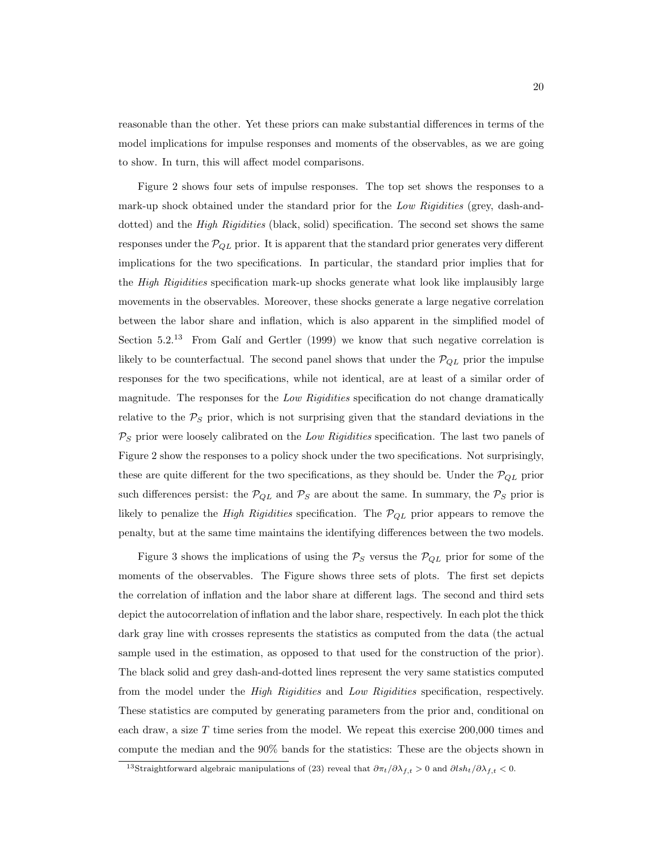reasonable than the other. Yet these priors can make substantial differences in terms of the model implications for impulse responses and moments of the observables, as we are going to show. In turn, this will affect model comparisons.

Figure 2 shows four sets of impulse responses. The top set shows the responses to a mark-up shock obtained under the standard prior for the Low Rigidities (grey, dash-anddotted) and the *High Rigidities* (black, solid) specification. The second set shows the same responses under the  $P_{QL}$  prior. It is apparent that the standard prior generates very different implications for the two specifications. In particular, the standard prior implies that for the *High Rigidities* specification mark-up shocks generate what look like implausibly large movements in the observables. Moreover, these shocks generate a large negative correlation between the labor share and inflation, which is also apparent in the simplified model of Section  $5.2^{13}$  From Galí and Gertler (1999) we know that such negative correlation is likely to be counterfactual. The second panel shows that under the  $\mathcal{P}_{QL}$  prior the impulse responses for the two specifications, while not identical, are at least of a similar order of magnitude. The responses for the Low Rigidities specification do not change dramatically relative to the  $P<sub>S</sub>$  prior, which is not surprising given that the standard deviations in the  $P<sub>S</sub>$  prior were loosely calibrated on the Low Rigidities specification. The last two panels of Figure 2 show the responses to a policy shock under the two specifications. Not surprisingly, these are quite different for the two specifications, as they should be. Under the  $\mathcal{P}_{QL}$  prior such differences persist: the  $P_{QL}$  and  $P_S$  are about the same. In summary, the  $P_S$  prior is likely to penalize the *High Rigidities* specification. The  $P_{QL}$  prior appears to remove the penalty, but at the same time maintains the identifying differences between the two models.

Figure 3 shows the implications of using the  $P_S$  versus the  $P_{QL}$  prior for some of the moments of the observables. The Figure shows three sets of plots. The first set depicts the correlation of inflation and the labor share at different lags. The second and third sets depict the autocorrelation of inflation and the labor share, respectively. In each plot the thick dark gray line with crosses represents the statistics as computed from the data (the actual sample used in the estimation, as opposed to that used for the construction of the prior). The black solid and grey dash-and-dotted lines represent the very same statistics computed from the model under the High Rigidities and Low Rigidities specification, respectively. These statistics are computed by generating parameters from the prior and, conditional on each draw, a size  $T$  time series from the model. We repeat this exercise 200,000 times and compute the median and the 90% bands for the statistics: These are the objects shown in

<sup>&</sup>lt;sup>13</sup>Straightforward algebraic manipulations of (23) reveal that  $\partial \pi_t/\partial \lambda_{f,t} > 0$  and  $\partial \ell s h_t/\partial \lambda_{f,t} < 0$ .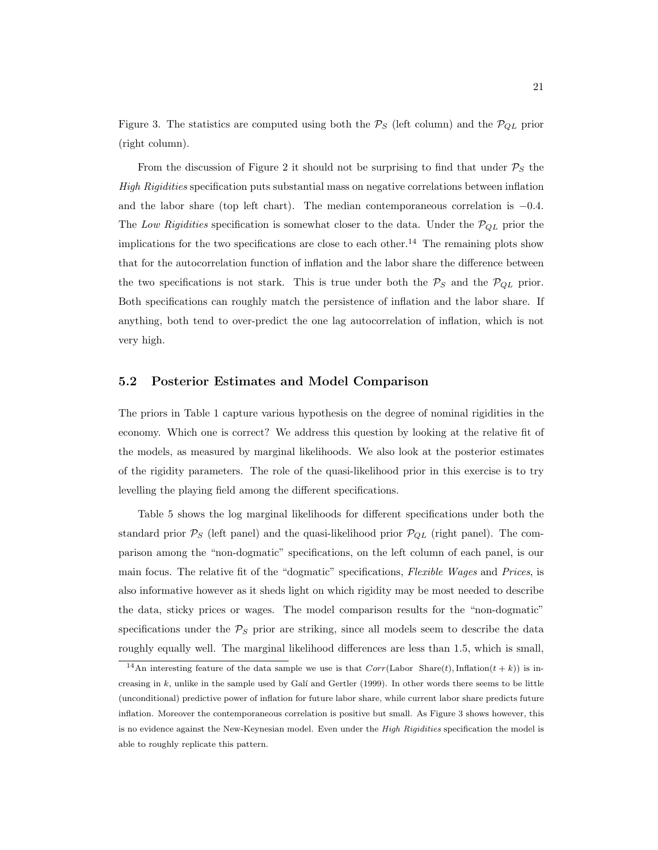Figure 3. The statistics are computed using both the  $P_S$  (left column) and the  $P_{QL}$  prior (right column).

From the discussion of Figure 2 it should not be surprising to find that under  $P<sub>S</sub>$  the High Rigidities specification puts substantial mass on negative correlations between inflation and the labor share (top left chart). The median contemporaneous correlation is  $-0.4$ . The Low Rigidities specification is somewhat closer to the data. Under the  $P_{QL}$  prior the implications for the two specifications are close to each other.<sup>14</sup> The remaining plots show that for the autocorrelation function of inflation and the labor share the difference between the two specifications is not stark. This is true under both the  $P_S$  and the  $P_{QL}$  prior. Both specifications can roughly match the persistence of inflation and the labor share. If anything, both tend to over-predict the one lag autocorrelation of inflation, which is not very high.

#### 5.2 Posterior Estimates and Model Comparison

The priors in Table 1 capture various hypothesis on the degree of nominal rigidities in the economy. Which one is correct? We address this question by looking at the relative fit of the models, as measured by marginal likelihoods. We also look at the posterior estimates of the rigidity parameters. The role of the quasi-likelihood prior in this exercise is to try levelling the playing field among the different specifications.

Table 5 shows the log marginal likelihoods for different specifications under both the standard prior  $P_S$  (left panel) and the quasi-likelihood prior  $P_{QL}$  (right panel). The comparison among the "non-dogmatic" specifications, on the left column of each panel, is our main focus. The relative fit of the "dogmatic" specifications, Flexible Wages and Prices, is also informative however as it sheds light on which rigidity may be most needed to describe the data, sticky prices or wages. The model comparison results for the "non-dogmatic" specifications under the  $P<sub>S</sub>$  prior are striking, since all models seem to describe the data roughly equally well. The marginal likelihood differences are less than 1.5, which is small,

<sup>&</sup>lt;sup>14</sup>An interesting feature of the data sample we use is that  $Corr(\text{Labor Share}(t),\text{Inflation}(t+k))$  is increasing in  $k$ , unlike in the sample used by Galí and Gertler (1999). In other words there seems to be little (unconditional) predictive power of inflation for future labor share, while current labor share predicts future inflation. Moreover the contemporaneous correlation is positive but small. As Figure 3 shows however, this is no evidence against the New-Keynesian model. Even under the *High Rigidities* specification the model is able to roughly replicate this pattern.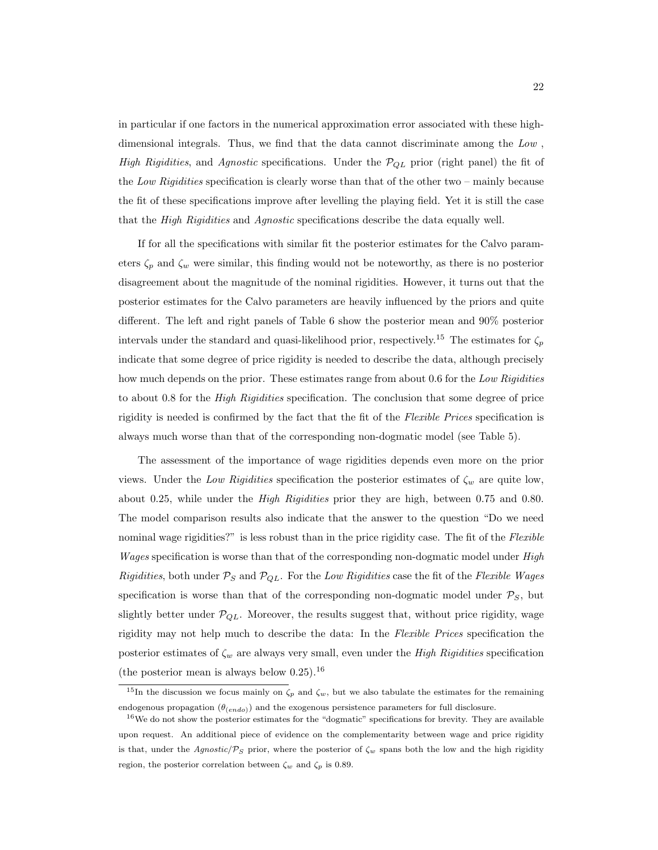in particular if one factors in the numerical approximation error associated with these highdimensional integrals. Thus, we find that the data cannot discriminate among the Low , High Rigidities, and Agnostic specifications. Under the  $P_{QL}$  prior (right panel) the fit of the Low Rigidities specification is clearly worse than that of the other two – mainly because the fit of these specifications improve after levelling the playing field. Yet it is still the case that the *High Rigidities* and *Agnostic* specifications describe the data equally well.

If for all the specifications with similar fit the posterior estimates for the Calvo parameters  $\zeta_p$  and  $\zeta_w$  were similar, this finding would not be noteworthy, as there is no posterior disagreement about the magnitude of the nominal rigidities. However, it turns out that the posterior estimates for the Calvo parameters are heavily influenced by the priors and quite different. The left and right panels of Table 6 show the posterior mean and 90% posterior intervals under the standard and quasi-likelihood prior, respectively.<sup>15</sup> The estimates for  $\zeta_p$ indicate that some degree of price rigidity is needed to describe the data, although precisely how much depends on the prior. These estimates range from about 0.6 for the Low Rigidities to about 0.8 for the *High Rigidities* specification. The conclusion that some degree of price rigidity is needed is confirmed by the fact that the fit of the Flexible Prices specification is always much worse than that of the corresponding non-dogmatic model (see Table 5).

The assessment of the importance of wage rigidities depends even more on the prior views. Under the Low Rigidities specification the posterior estimates of  $\zeta_w$  are quite low, about 0.25, while under the *High Rigidities* prior they are high, between 0.75 and 0.80. The model comparison results also indicate that the answer to the question "Do we need nominal wage rigidities?" is less robust than in the price rigidity case. The fit of the Flexible *Wages* specification is worse than that of the corresponding non-dogmatic model under *High* Rigidities, both under  $P_S$  and  $P_{QL}$ . For the Low Rigidities case the fit of the Flexible Wages specification is worse than that of the corresponding non-dogmatic model under  $P_S$ , but slightly better under  $P_{QL}$ . Moreover, the results suggest that, without price rigidity, wage rigidity may not help much to describe the data: In the Flexible Prices specification the posterior estimates of  $\zeta_w$  are always very small, even under the High Rigidities specification (the posterior mean is always below  $0.25$ ).<sup>16</sup>

 $15$ In the discussion we focus mainly on  $\zeta_p$  and  $\zeta_w$ , but we also tabulate the estimates for the remaining endogenous propagation  $(\theta_{(endo)})$  and the exogenous persistence parameters for full disclosure.

<sup>&</sup>lt;sup>16</sup>We do not show the posterior estimates for the "dogmatic" specifications for brevity. They are available upon request. An additional piece of evidence on the complementarity between wage and price rigidity is that, under the Agnostic/ $\mathcal{P}_S$  prior, where the posterior of  $\zeta_w$  spans both the low and the high rigidity region, the posterior correlation between  $\zeta_w$  and  $\zeta_p$  is 0.89.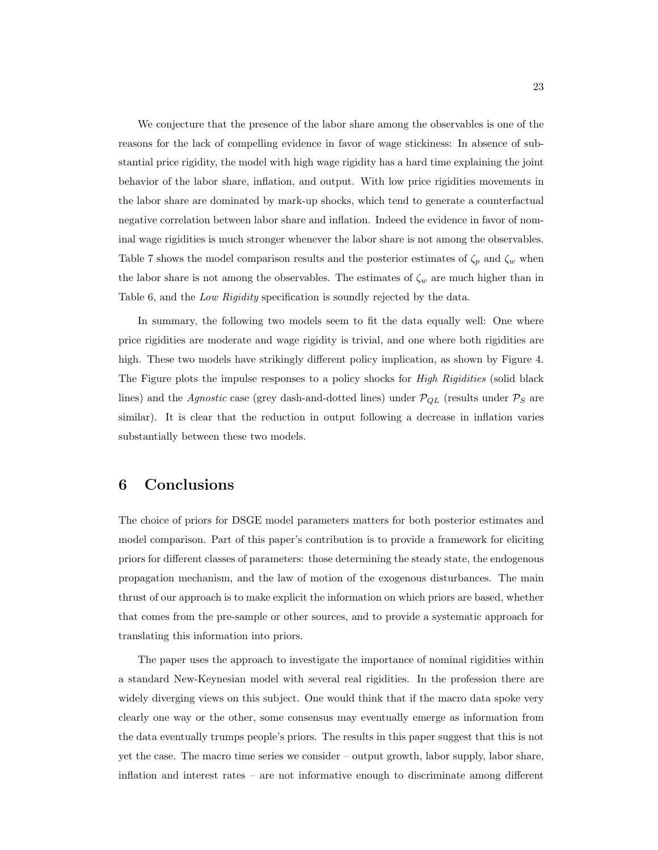We conjecture that the presence of the labor share among the observables is one of the reasons for the lack of compelling evidence in favor of wage stickiness: In absence of substantial price rigidity, the model with high wage rigidity has a hard time explaining the joint behavior of the labor share, inflation, and output. With low price rigidities movements in the labor share are dominated by mark-up shocks, which tend to generate a counterfactual negative correlation between labor share and inflation. Indeed the evidence in favor of nominal wage rigidities is much stronger whenever the labor share is not among the observables. Table 7 shows the model comparison results and the posterior estimates of  $\zeta_p$  and  $\zeta_w$  when the labor share is not among the observables. The estimates of  $\zeta_w$  are much higher than in Table 6, and the Low Rigidity specification is soundly rejected by the data.

In summary, the following two models seem to fit the data equally well: One where price rigidities are moderate and wage rigidity is trivial, and one where both rigidities are high. These two models have strikingly different policy implication, as shown by Figure 4. The Figure plots the impulse responses to a policy shocks for *High Rigidities* (solid black lines) and the *Agnostic* case (grey dash-and-dotted lines) under  $P_{QL}$  (results under  $P_S$  are similar). It is clear that the reduction in output following a decrease in inflation varies substantially between these two models.

# 6 Conclusions

The choice of priors for DSGE model parameters matters for both posterior estimates and model comparison. Part of this paper's contribution is to provide a framework for eliciting priors for different classes of parameters: those determining the steady state, the endogenous propagation mechanism, and the law of motion of the exogenous disturbances. The main thrust of our approach is to make explicit the information on which priors are based, whether that comes from the pre-sample or other sources, and to provide a systematic approach for translating this information into priors.

The paper uses the approach to investigate the importance of nominal rigidities within a standard New-Keynesian model with several real rigidities. In the profession there are widely diverging views on this subject. One would think that if the macro data spoke very clearly one way or the other, some consensus may eventually emerge as information from the data eventually trumps people's priors. The results in this paper suggest that this is not yet the case. The macro time series we consider – output growth, labor supply, labor share, inflation and interest rates – are not informative enough to discriminate among different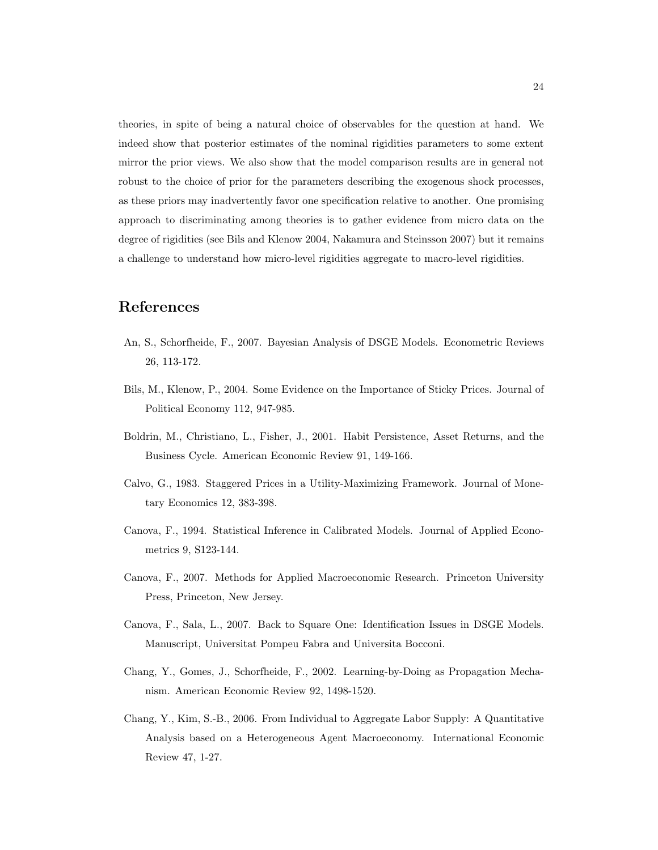theories, in spite of being a natural choice of observables for the question at hand. We indeed show that posterior estimates of the nominal rigidities parameters to some extent mirror the prior views. We also show that the model comparison results are in general not robust to the choice of prior for the parameters describing the exogenous shock processes, as these priors may inadvertently favor one specification relative to another. One promising approach to discriminating among theories is to gather evidence from micro data on the degree of rigidities (see Bils and Klenow 2004, Nakamura and Steinsson 2007) but it remains a challenge to understand how micro-level rigidities aggregate to macro-level rigidities.

# References

- An, S., Schorfheide, F., 2007. Bayesian Analysis of DSGE Models. Econometric Reviews 26, 113-172.
- Bils, M., Klenow, P., 2004. Some Evidence on the Importance of Sticky Prices. Journal of Political Economy 112, 947-985.
- Boldrin, M., Christiano, L., Fisher, J., 2001. Habit Persistence, Asset Returns, and the Business Cycle. American Economic Review 91, 149-166.
- Calvo, G., 1983. Staggered Prices in a Utility-Maximizing Framework. Journal of Monetary Economics 12, 383-398.
- Canova, F., 1994. Statistical Inference in Calibrated Models. Journal of Applied Econometrics 9, S123-144.
- Canova, F., 2007. Methods for Applied Macroeconomic Research. Princeton University Press, Princeton, New Jersey.
- Canova, F., Sala, L., 2007. Back to Square One: Identification Issues in DSGE Models. Manuscript, Universitat Pompeu Fabra and Universita Bocconi.
- Chang, Y., Gomes, J., Schorfheide, F., 2002. Learning-by-Doing as Propagation Mechanism. American Economic Review 92, 1498-1520.
- Chang, Y., Kim, S.-B., 2006. From Individual to Aggregate Labor Supply: A Quantitative Analysis based on a Heterogeneous Agent Macroeconomy. International Economic Review 47, 1-27.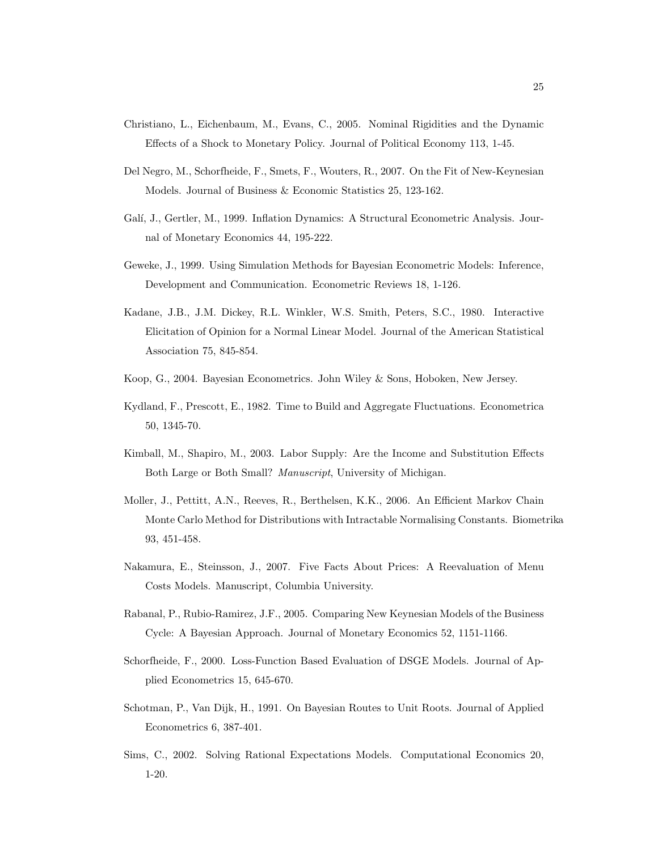- Christiano, L., Eichenbaum, M., Evans, C., 2005. Nominal Rigidities and the Dynamic Effects of a Shock to Monetary Policy. Journal of Political Economy 113, 1-45.
- Del Negro, M., Schorfheide, F., Smets, F., Wouters, R., 2007. On the Fit of New-Keynesian Models. Journal of Business & Economic Statistics 25, 123-162.
- Galí, J., Gertler, M., 1999. Inflation Dynamics: A Structural Econometric Analysis. Journal of Monetary Economics 44, 195-222.
- Geweke, J., 1999. Using Simulation Methods for Bayesian Econometric Models: Inference, Development and Communication. Econometric Reviews 18, 1-126.
- Kadane, J.B., J.M. Dickey, R.L. Winkler, W.S. Smith, Peters, S.C., 1980. Interactive Elicitation of Opinion for a Normal Linear Model. Journal of the American Statistical Association 75, 845-854.
- Koop, G., 2004. Bayesian Econometrics. John Wiley & Sons, Hoboken, New Jersey.
- Kydland, F., Prescott, E., 1982. Time to Build and Aggregate Fluctuations. Econometrica 50, 1345-70.
- Kimball, M., Shapiro, M., 2003. Labor Supply: Are the Income and Substitution Effects Both Large or Both Small? Manuscript, University of Michigan.
- Moller, J., Pettitt, A.N., Reeves, R., Berthelsen, K.K., 2006. An Efficient Markov Chain Monte Carlo Method for Distributions with Intractable Normalising Constants. Biometrika 93, 451-458.
- Nakamura, E., Steinsson, J., 2007. Five Facts About Prices: A Reevaluation of Menu Costs Models. Manuscript, Columbia University.
- Rabanal, P., Rubio-Ramirez, J.F., 2005. Comparing New Keynesian Models of the Business Cycle: A Bayesian Approach. Journal of Monetary Economics 52, 1151-1166.
- Schorfheide, F., 2000. Loss-Function Based Evaluation of DSGE Models. Journal of Applied Econometrics 15, 645-670.
- Schotman, P., Van Dijk, H., 1991. On Bayesian Routes to Unit Roots. Journal of Applied Econometrics 6, 387-401.
- Sims, C., 2002. Solving Rational Expectations Models. Computational Economics 20, 1-20.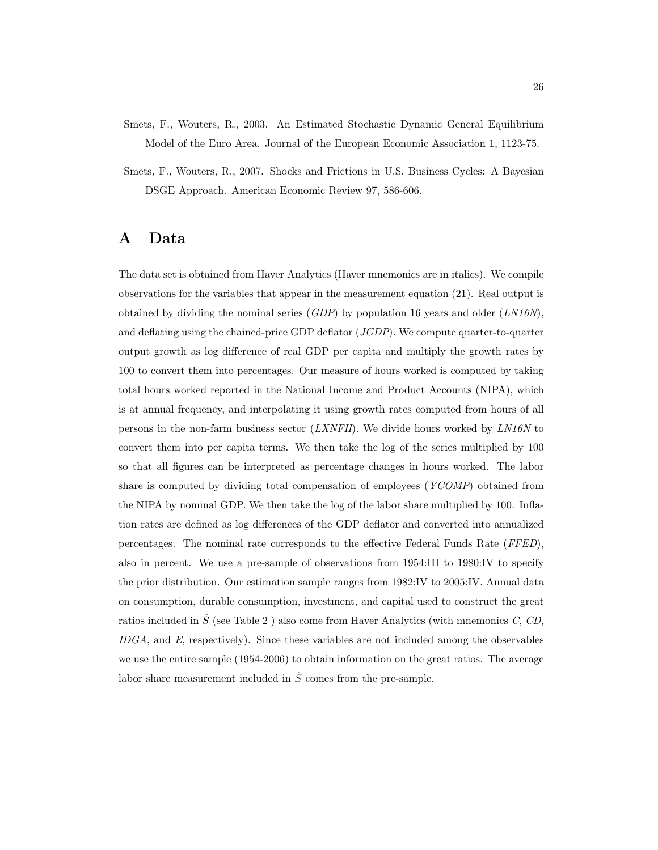- Smets, F., Wouters, R., 2003. An Estimated Stochastic Dynamic General Equilibrium Model of the Euro Area. Journal of the European Economic Association 1, 1123-75.
- Smets, F., Wouters, R., 2007. Shocks and Frictions in U.S. Business Cycles: A Bayesian DSGE Approach. American Economic Review 97, 586-606.

# A Data

The data set is obtained from Haver Analytics (Haver mnemonics are in italics). We compile observations for the variables that appear in the measurement equation (21). Real output is obtained by dividing the nominal series  $(GDP)$  by population 16 years and older  $(LM16N)$ , and deflating using the chained-price GDP deflator  $(JGDP)$ . We compute quarter-to-quarter output growth as log difference of real GDP per capita and multiply the growth rates by 100 to convert them into percentages. Our measure of hours worked is computed by taking total hours worked reported in the National Income and Product Accounts (NIPA), which is at annual frequency, and interpolating it using growth rates computed from hours of all persons in the non-farm business sector  $(LXNFH)$ . We divide hours worked by  $LN16N$  to convert them into per capita terms. We then take the log of the series multiplied by 100 so that all figures can be interpreted as percentage changes in hours worked. The labor share is computed by dividing total compensation of employees (YCOMP) obtained from the NIPA by nominal GDP. We then take the log of the labor share multiplied by 100. Inflation rates are defined as log differences of the GDP deflator and converted into annualized percentages. The nominal rate corresponds to the effective Federal Funds Rate (FFED), also in percent. We use a pre-sample of observations from 1954:III to 1980:IV to specify the prior distribution. Our estimation sample ranges from 1982:IV to 2005:IV. Annual data on consumption, durable consumption, investment, and capital used to construct the great ratios included in  $\hat{S}$  (see Table 2) also come from Haver Analytics (with mnemonics C, CD, IDGA, and E, respectively). Since these variables are not included among the observables we use the entire sample (1954-2006) to obtain information on the great ratios. The average labor share measurement included in  $\hat{S}$  comes from the pre-sample.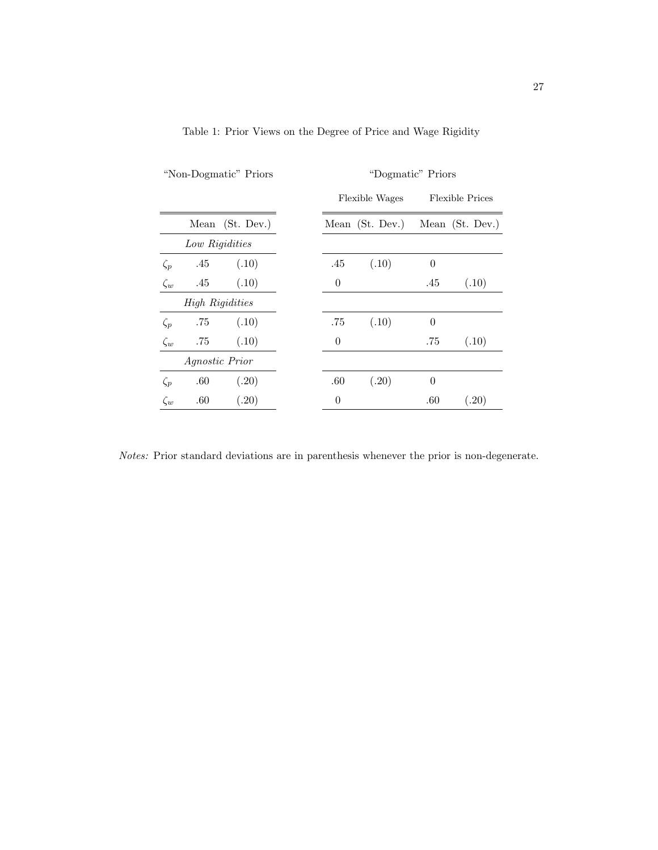| "Non-Dogmatic" Priors |                        |                 | "Dogmatic" Priors |                |                 |          |                        |
|-----------------------|------------------------|-----------------|-------------------|----------------|-----------------|----------|------------------------|
|                       |                        |                 |                   |                | Flexible Wages  |          | <b>Flexible Prices</b> |
|                       |                        | Mean (St. Dev.) |                   |                | Mean (St. Dev.) |          | Mean (St. Dev.)        |
|                       | Low Rigidities         |                 |                   |                |                 |          |                        |
| $\zeta_p$             | .45                    | (.10)           |                   | .45            | (.10)           | $\theta$ |                        |
| $\zeta_w$             | .45                    | (.10)           |                   | $\overline{0}$ |                 | .45      | (.10)                  |
|                       | <b>High Rigidities</b> |                 |                   |                |                 |          |                        |
| $\zeta_p$             | .75                    | (.10)           |                   | .75            | (.10)           | $\theta$ |                        |
| $\zeta_w$             | .75                    | (.10)           |                   | $\overline{0}$ |                 | .75      | (.10)                  |
| <i>Agnostic Prior</i> |                        |                 |                   |                |                 |          |                        |
| $\zeta_p$             | .60                    | (.20)           |                   | .60            | (.20)           | $\theta$ |                        |
| $\zeta_w$             | .60                    | (.20)           |                   | 0              |                 | .60      | (.20)                  |

Table 1: Prior Views on the Degree of Price and Wage Rigidity

Notes: Prior standard deviations are in parenthesis whenever the prior is non-degenerate.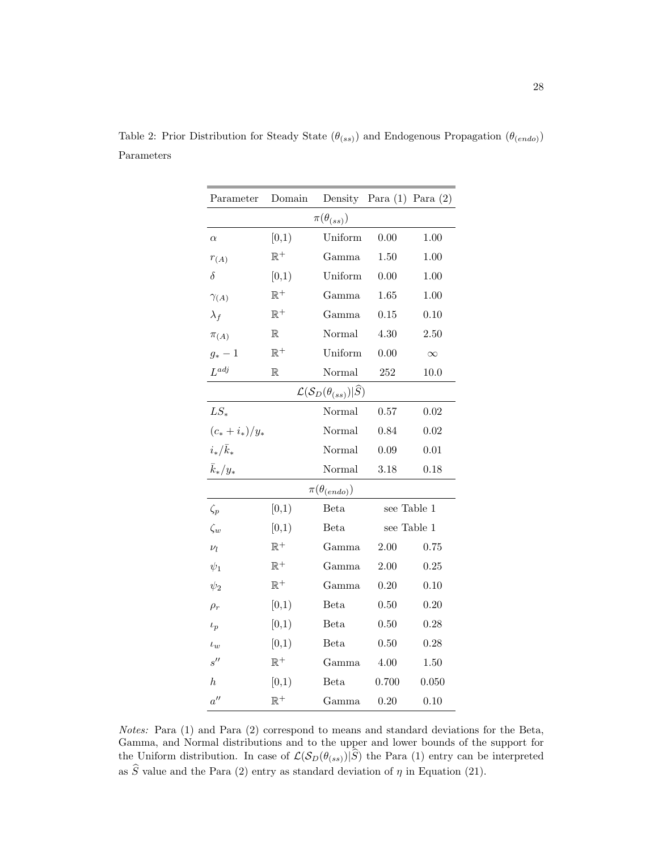| Parameter                          | Domain         |                                                         | Density Para $(1)$ Para $(2)$ |             |  |  |  |
|------------------------------------|----------------|---------------------------------------------------------|-------------------------------|-------------|--|--|--|
| $\pi(\theta_{(ss)})$               |                |                                                         |                               |             |  |  |  |
| $\alpha$                           | [0,1)          | Uniform                                                 | 0.00                          | 1.00        |  |  |  |
| $r_{(A)}$                          | $\mathbb{R}^+$ | Gamma                                                   | 1.50                          | 1.00        |  |  |  |
| $\delta$                           | [0,1)          | Uniform                                                 | 0.00                          | 1.00        |  |  |  |
| $\gamma_{(A)}$                     | $\mathbb{R}^+$ | Gamma                                                   | 1.65                          | 1.00        |  |  |  |
| $\lambda_f$                        | $\mathbb{R}^+$ | Gamma                                                   | 0.15                          | 0.10        |  |  |  |
| $\pi_{(A)}$                        | $\mathbb R$    | Normal                                                  | 4.30                          | 2.50        |  |  |  |
| $g_*-1$                            | $\mathbb{R}^+$ | Uniform                                                 | 0.00                          | $\infty$    |  |  |  |
| $L^{adj}$                          | $\mathbb R$    | Normal                                                  | 252                           | 10.0        |  |  |  |
|                                    |                | $\mathcal{L}(\mathcal{S}_D(\theta_{(ss)}) \widehat{S})$ |                               |             |  |  |  |
| $LS_*$                             |                | Normal                                                  | 0.57                          | 0.02        |  |  |  |
| $(c_*+i_*)/y_*$                    |                | Normal                                                  | 0.84                          | 0.02        |  |  |  |
| $i_*/\bar{k}_*$                    |                | Normal                                                  | 0.09                          | 0.01        |  |  |  |
| $\bar{k}_*/y_*$                    |                | Normal                                                  | 3.18                          | 0.18        |  |  |  |
|                                    |                | $\pi(\theta_{(endo)})$                                  |                               |             |  |  |  |
| $\zeta_p$                          | [0,1)          | Beta                                                    |                               | see Table 1 |  |  |  |
| $\zeta_w$                          | [0,1)          | Beta                                                    |                               | see Table 1 |  |  |  |
| $\nu_l$                            | $\mathbb{R}^+$ | Gamma                                                   | 2.00                          | 0.75        |  |  |  |
| $\psi_1$                           | $\mathbb{R}^+$ | Gamma                                                   | 2.00                          | 0.25        |  |  |  |
| $\psi_2$                           | $\mathbb{R}^+$ | Gamma                                                   | 0.20                          | 0.10        |  |  |  |
| $\rho_r$                           | [0,1)          | Beta                                                    | 0.50                          | 0.20        |  |  |  |
| $\iota_p$                          | [0,1)          | Beta                                                    | 0.50                          | 0.28        |  |  |  |
| $\iota_w$                          | [0,1)          | Beta                                                    | 0.50                          | 0.28        |  |  |  |
| $s$ <sup><math>\prime</math></sup> | $\mathbb{R}^+$ | Gamma                                                   | 4.00                          | 1.50        |  |  |  |
| $\boldsymbol{h}$                   | [0,1)          | Beta                                                    | 0.700                         | 0.050       |  |  |  |
| $a^{\prime\prime}$                 | $\mathbb{R}^+$ | Gamma                                                   | 0.20                          | 0.10        |  |  |  |

Table 2: Prior Distribution for Steady State  $(\theta_{(ss)})$  and Endogenous Propagation  $(\theta_{(endo)})$ Parameters

Notes: Para (1) and Para (2) correspond to means and standard deviations for the Beta, Gamma, and Normal distributions and to the upper and lower bounds of the support for the Uniform distribution. In case of  $\mathcal{L}(\mathcal{S}_D(\theta_{(ss)})|S)$  the Para (1) entry can be interpreted as S value and the Para (2) entry as standard deviation of  $\eta$  in Equation (21).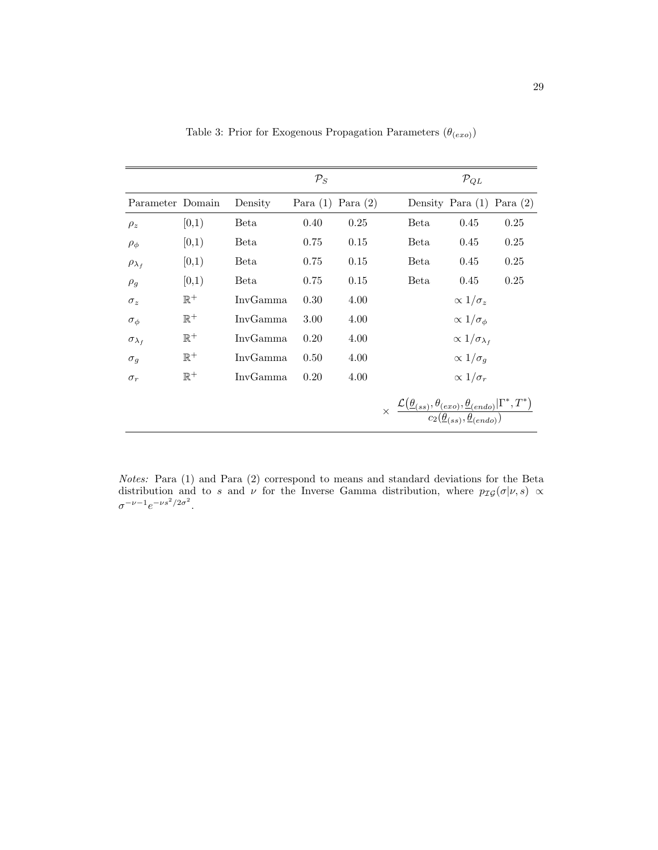|                      |                |          | $\mathcal{P}_S$ |            |                                                                                                                                                                              | $\mathcal{P}_{QL}$             |      |
|----------------------|----------------|----------|-----------------|------------|------------------------------------------------------------------------------------------------------------------------------------------------------------------------------|--------------------------------|------|
| Parameter Domain     |                | Density  | Para $(1)$      | Para $(2)$ |                                                                                                                                                                              | Density Para $(1)$ Para $(2)$  |      |
| $\rho_z$             | [0,1)          | Beta     | 0.40            | 0.25       | Beta                                                                                                                                                                         | 0.45                           | 0.25 |
| $\rho_{\phi}$        | [0,1)          | Beta     | 0.75            | 0.15       | Beta                                                                                                                                                                         | 0.45                           | 0.25 |
| $\rho_{\lambda_f}$   | [0,1)          | Beta     | 0.75            | 0.15       | Beta                                                                                                                                                                         | 0.45                           | 0.25 |
| $\rho_q$             | [0,1)          | Beta     | 0.75            | 0.15       | Beta                                                                                                                                                                         | 0.45                           | 0.25 |
| $\sigma_z$           | $\mathbb{R}^+$ | InvGamma | 0.30            | 4.00       |                                                                                                                                                                              | $\propto 1/\sigma_z$           |      |
| $\sigma_{\phi}$      | $\mathbb{R}^+$ | InvGamma | 3.00            | 4.00       |                                                                                                                                                                              | $\propto 1/\sigma_{\phi}$      |      |
| $\sigma_{\lambda_f}$ | $\mathbb{R}^+$ | InvGamma | 0.20            | 4.00       |                                                                                                                                                                              | $\propto 1/\sigma_{\lambda_f}$ |      |
| $\sigma_q$           | $\mathbb{R}^+$ | InvGamma | 0.50            | 4.00       |                                                                                                                                                                              | $\propto 1/\sigma_q$           |      |
| $\sigma_r$           | $\mathbb{R}^+$ | InvGamma | 0.20            | 4.00       |                                                                                                                                                                              | $\propto 1/\sigma_r$           |      |
|                      |                |          |                 |            | $\times \frac{\mathcal{L}(\underline{\theta}_{(ss)},\theta_{(exo)},\underline{\theta}_{(endo)}   \Gamma^*,T^*)}{c_2(\underline{\theta}_{(ss)},\underline{\theta}_{(endo)})}$ |                                |      |

Table 3: Prior for Exogenous Propagation Parameters  $(\theta_{(exo)})$ 

Notes: Para (1) and Para (2) correspond to means and standard deviations for the Beta distribution and to s and  $\nu$  for the Inverse Gamma distribution, where  $p_{\mathcal{IG}}(\sigma|\nu, s) \propto$  $\sigma^{-\nu-1}e^{-\nu s^2/2\sigma^2}$ .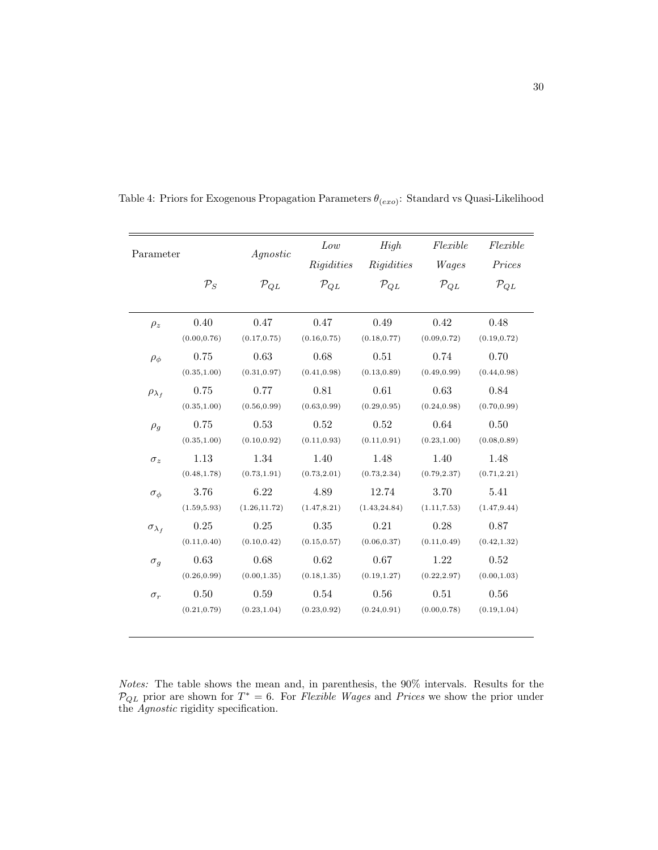| Parameter<br>$\mathcal{P}_S$ |              | Agnostic<br>$\mathcal{P}_{QL}$ | Low<br>Rigidities<br>$\mathcal{P}_{QL}$ | High<br>Rigidities<br>$\mathcal{P}_{OL}$ | Flexible<br>Wages<br>$\mathcal{P}_{OL}$ | Flexible<br>Prices<br>$\mathcal{P}_{QL}$ |
|------------------------------|--------------|--------------------------------|-----------------------------------------|------------------------------------------|-----------------------------------------|------------------------------------------|
|                              |              |                                |                                         |                                          |                                         |                                          |
| $\rho_z$                     | 0.40         | 0.47                           | 0.47                                    | 0.49                                     | 0.42                                    | 0.48                                     |
|                              | (0.00, 0.76) | (0.17, 0.75)                   | (0.16, 0.75)                            | (0.18, 0.77)                             | (0.09, 0.72)                            | (0.19, 0.72)                             |
| $\rho_{\phi}$                | 0.75         | 0.63                           | 0.68                                    | 0.51                                     | 0.74                                    | 0.70                                     |
|                              | (0.35, 1.00) | (0.31, 0.97)                   | (0.41, 0.98)                            | (0.13, 0.89)                             | (0.49, 0.99)                            | (0.44, 0.98)                             |
| $\rho_{\lambda_f}$           | 0.75         | 0.77                           | 0.81                                    | 0.61                                     | 0.63                                    | 0.84                                     |
|                              | (0.35, 1.00) | (0.56, 0.99)                   | (0.63, 0.99)                            | (0.29, 0.95)                             | (0.24, 0.98)                            | (0.70, 0.99)                             |
| $\rho_g$                     | 0.75         | 0.53                           | 0.52                                    | 0.52                                     | 0.64                                    | 0.50                                     |
|                              | (0.35, 1.00) | (0.10, 0.92)                   | (0.11, 0.93)                            | (0.11, 0.91)                             | (0.23, 1.00)                            | (0.08, 0.89)                             |
| $\sigma_z$                   | 1.13         | 1.34                           | 1.40                                    | 1.48                                     | 1.40                                    | 1.48                                     |
|                              | (0.48, 1.78) | (0.73, 1.91)                   | (0.73, 2.01)                            | (0.73, 2.34)                             | (0.79, 2.37)                            | (0.71, 2.21)                             |
| $\sigma_{\phi}$              | 3.76         | 6.22                           | 4.89                                    | 12.74                                    | 3.70                                    | 5.41                                     |
|                              | (1.59, 5.93) | (1.26, 11.72)                  | (1.47, 8.21)                            | (1.43, 24.84)                            | (1.11, 7.53)                            | (1.47, 9.44)                             |
| $\sigma_{\lambda_f}$         | 0.25         | 0.25                           | 0.35                                    | 0.21                                     | 0.28                                    | 0.87                                     |
|                              | (0.11, 0.40) | (0.10, 0.42)                   | (0.15, 0.57)                            | (0.06, 0.37)                             | (0.11, 0.49)                            | (0.42, 1.32)                             |
| $\sigma_g$                   | 0.63         | 0.68                           | 0.62                                    | 0.67                                     | 1.22                                    | 0.52                                     |
|                              | (0.26, 0.99) | (0.00, 1.35)                   | (0.18, 1.35)                            | (0.19, 1.27)                             | (0.22, 2.97)                            | (0.00, 1.03)                             |
| $\sigma_r$                   | 0.50         | 0.59                           | 0.54                                    | 0.56                                     | 0.51                                    | $0.56\,$                                 |
|                              | (0.21, 0.79) | (0.23, 1.04)                   | (0.23, 0.92)                            | (0.24, 0.91)                             | (0.00, 0.78)                            | (0.19, 1.04)                             |

Table 4: Priors for Exogenous Propagation Parameters  $\theta_{(exo)}$ : Standard vs Quasi-Likelihood

Notes: The table shows the mean and, in parenthesis, the 90% intervals. Results for the  $P_{QL}$  prior are shown for  $T^* = 6$ . For Flexible Wages and Prices we show the prior under the *Agnostic* rigidity specification.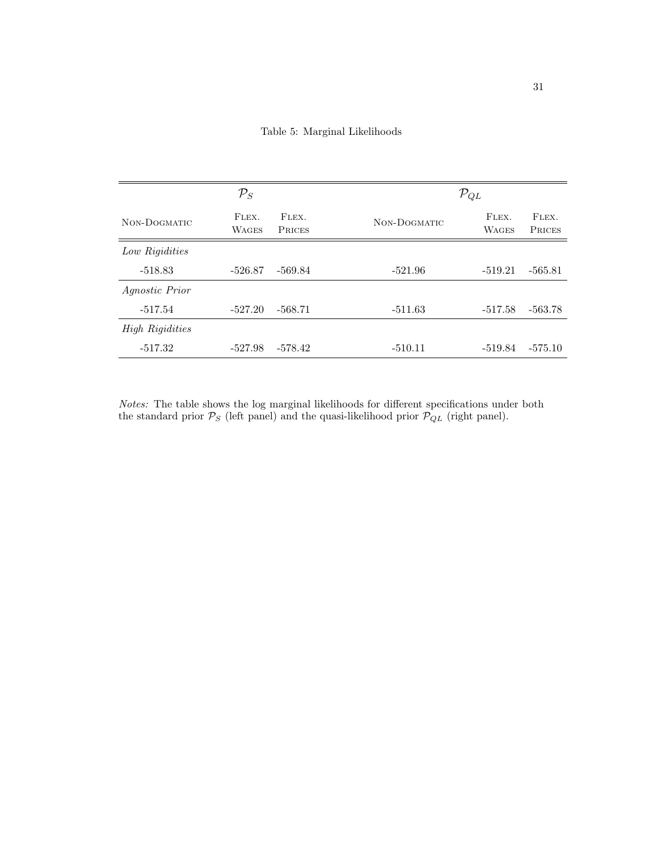Table 5: Marginal Likelihoods

|                        | $\mathcal{P}_S$       |                        |              | $\mathcal{P}_{QL}$    |                 |
|------------------------|-----------------------|------------------------|--------------|-----------------------|-----------------|
| NON-DOGMATIC           | FLEX.<br><b>WAGES</b> | FLEX.<br><b>PRICES</b> | NON-DOGMATIC | FLEX.<br><b>WAGES</b> | FLEX.<br>PRICES |
| Low Rigidities         |                       |                        |              |                       |                 |
| $-518.83$              | $-526.87$             | -569.84                | $-521.96$    | $-519.21$             | $-565.81$       |
| Agnostic Prior         |                       |                        |              |                       |                 |
| $-517.54$              | $-527.20$             | $-568.71$              | $-511.63$    | $-517.58$             | -563.78         |
| <b>High Rigidities</b> |                       |                        |              |                       |                 |
| $-517.32$              | $-527.98$             | $-578.42$              | $-510.11$    | -519.84               | $-575.10$       |

Notes: The table shows the log marginal likelihoods for different specifications under both the standard prior  $\mathcal{P}_S$  (left panel) and the quasi-likelihood prior  $\mathcal{P}_{QL}$  (right panel).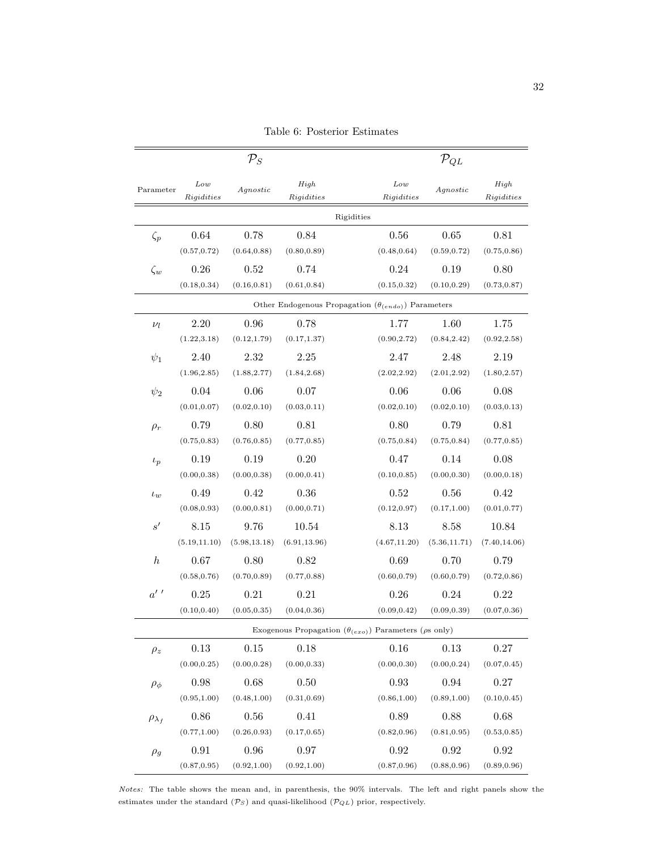|                    |                        | $\mathcal{P}_S$ |                                                                      |            |                        | $\mathcal{P}_{QL}$ |                    |
|--------------------|------------------------|-----------------|----------------------------------------------------------------------|------------|------------------------|--------------------|--------------------|
| Parameter          | $_{Low}$<br>Rigidities | $A q$ nostic    | High<br>Rigidities                                                   |            | $_{Low}$<br>Rigidities | $A q$ nostic       | High<br>Rigidities |
|                    |                        |                 |                                                                      | Rigidities |                        |                    |                    |
| $\zeta_p$          | 0.64                   | 0.78            | 0.84                                                                 |            | 0.56                   | 0.65               | 0.81               |
|                    | (0.57, 0.72)           | (0.64, 0.88)    | (0.80, 0.89)                                                         |            | (0.48, 0.64)           | (0.59, 0.72)       | (0.75, 0.86)       |
| $\zeta_w$          | 0.26                   | 0.52            | 0.74                                                                 |            | 0.24                   | 0.19               | 0.80               |
|                    | (0.18, 0.34)           | (0.16, 0.81)    | (0.61, 0.84)                                                         |            | (0.15, 0.32)           | (0.10, 0.29)       | (0.73, 0.87)       |
|                    |                        |                 | Other Endogenous Propagation $(\theta_{(endo)})$ Parameters          |            |                        |                    |                    |
| $\nu_l$            | 2.20                   | 0.96            | 0.78                                                                 |            | 1.77                   | 1.60               | 1.75               |
|                    | (1.22, 3.18)           | (0.12, 1.79)    | (0.17, 1.37)                                                         |            | (0.90, 2.72)           | (0.84, 2.42)       | (0.92, 2.58)       |
| $\psi_1$           | 2.40                   | 2.32            | 2.25                                                                 |            | 2.47                   | 2.48               | 2.19               |
|                    | (1.96, 2.85)           | (1.88, 2.77)    | (1.84, 2.68)                                                         |            | (2.02, 2.92)           | (2.01, 2.92)       | (1.80, 2.57)       |
| $\psi_2$           | 0.04                   | 0.06            | 0.07                                                                 |            | 0.06                   | 0.06               | 0.08               |
|                    | (0.01, 0.07)           | (0.02, 0.10)    | (0.03, 0.11)                                                         |            | (0.02, 0.10)           | (0.02, 0.10)       | (0.03, 0.13)       |
| $\rho_r$           | 0.79                   | 0.80            | 0.81                                                                 |            | 0.80                   | 0.79               | 0.81               |
|                    | (0.75, 0.83)           | (0.76, 0.85)    | (0.77, 0.85)                                                         |            | (0.75, 0.84)           | (0.75, 0.84)       | (0.77, 0.85)       |
| $\iota_p$          | 0.19                   | 0.19            | 0.20                                                                 |            | 0.47                   | 0.14               | 0.08               |
|                    | (0.00, 0.38)           | (0.00, 0.38)    | (0.00, 0.41)                                                         |            | (0.10, 0.85)           | (0.00, 0.30)       | (0.00, 0.18)       |
| $\iota_w$          | 0.49                   | 0.42            | 0.36                                                                 |            | $0.52\,$               | 0.56               | 0.42               |
|                    | (0.08, 0.93)           | (0.00, 0.81)    | (0.00, 0.71)                                                         |            | (0.12, 0.97)           | (0.17, 1.00)       | (0.01, 0.77)       |
| s'                 | 8.15                   | 9.76            | 10.54                                                                |            | 8.13                   | 8.58               | 10.84              |
|                    | (5.19, 11.10)          | (5.98, 13.18)   | (6.91, 13.96)                                                        |            | (4.67, 11.20)          | (5.36, 11.71)      | (7.40, 14.06)      |
| $\boldsymbol{h}$   | 0.67                   | 0.80            | 0.82                                                                 |            | 0.69                   | 0.70               | 0.79               |
|                    | (0.58, 0.76)           | (0.70, 0.89)    | (0.77, 0.88)                                                         |            | (0.60, 0.79)           | (0.60, 0.79)       | (0.72, 0.86)       |
| $a'$ '             | 0.25                   | 0.21            | 0.21                                                                 |            | 0.26                   | 0.24               | 0.22               |
|                    | (0.10, 0.40)           | (0.05, 0.35)    | (0.04, 0.36)                                                         |            | (0.09, 0.42)           | (0.09, 0.39)       | (0.07, 0.36)       |
|                    |                        |                 | Exogenous Propagation $(\theta_{(exo)})$ Parameters ( $\rho$ s only) |            |                        |                    |                    |
| $\rho_z$           | $0.13\,$               | $0.15\,$        | 0.18                                                                 |            | 0.16                   | 0.13               | $0.27\,$           |
|                    | (0.00, 0.25)           | (0.00, 0.28)    | (0.00, 0.33)                                                         |            | (0.00, 0.30)           | (0.00, 0.24)       | (0.07, 0.45)       |
| $\rho_{\phi}$      | 0.98                   | 0.68            | 0.50                                                                 |            | 0.93                   | 0.94               | 0.27               |
|                    | (0.95, 1.00)           | (0.48, 1.00)    | (0.31, 0.69)                                                         |            | (0.86, 1.00)           | (0.89, 1.00)       | (0.10, 0.45)       |
| $\rho_{\lambda_f}$ | 0.86                   | 0.56            | 0.41                                                                 |            | 0.89                   | 0.88               | 0.68               |
|                    | (0.77, 1.00)           | (0.26, 0.93)    | (0.17, 0.65)                                                         |            | (0.82, 0.96)           | (0.81, 0.95)       | (0.53, 0.85)       |
| $\rho_g$           | 0.91                   | 0.96            | 0.97                                                                 |            | 0.92                   | $\rm 0.92$         | 0.92               |
|                    | (0.87, 0.95)           | (0.92, 1.00)    | (0.92, 1.00)                                                         |            | (0.87, 0.96)           | (0.88, 0.96)       | (0.89, 0.96)       |

Table 6: Posterior Estimates

Notes: The table shows the mean and, in parenthesis, the 90% intervals. The left and right panels show the estimates under the standard  $(\mathcal{P}_S)$  and quasi-likelihood  $(\mathcal{P}_{QL})$  prior, respectively.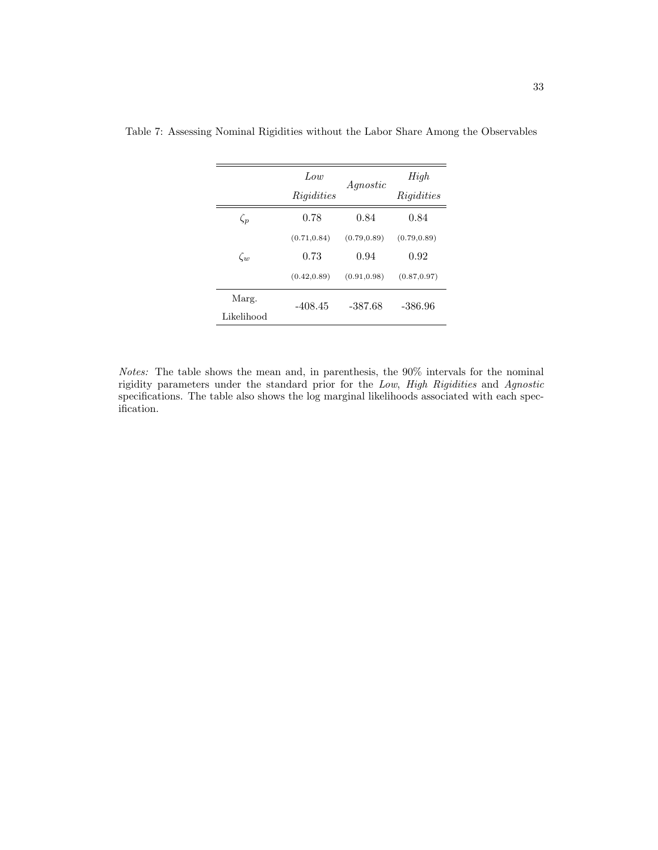|            | Low          | Agnostic     | High         |  |
|------------|--------------|--------------|--------------|--|
|            | Rigidities   |              | Rigidities   |  |
| $\zeta_p$  | 0.78         | 0.84         | 0.84         |  |
|            | (0.71, 0.84) | (0.79, 0.89) | (0.79, 0.89) |  |
| $\zeta_w$  | 0.73         | 0.94         | 0.92         |  |
|            | (0.42, 0.89) | (0.91, 0.98) | (0.87, 0.97) |  |
| Marg.      | $-408.45$    | $-387.68$    | $-386.96$    |  |
| Likelihood |              |              |              |  |

Table 7: Assessing Nominal Rigidities without the Labor Share Among the Observables

Notes: The table shows the mean and, in parenthesis, the 90% intervals for the nominal rigidity parameters under the standard prior for the Low, High Rigidities and Agnostic specifications. The table also shows the log marginal likelihoods associated with each specification.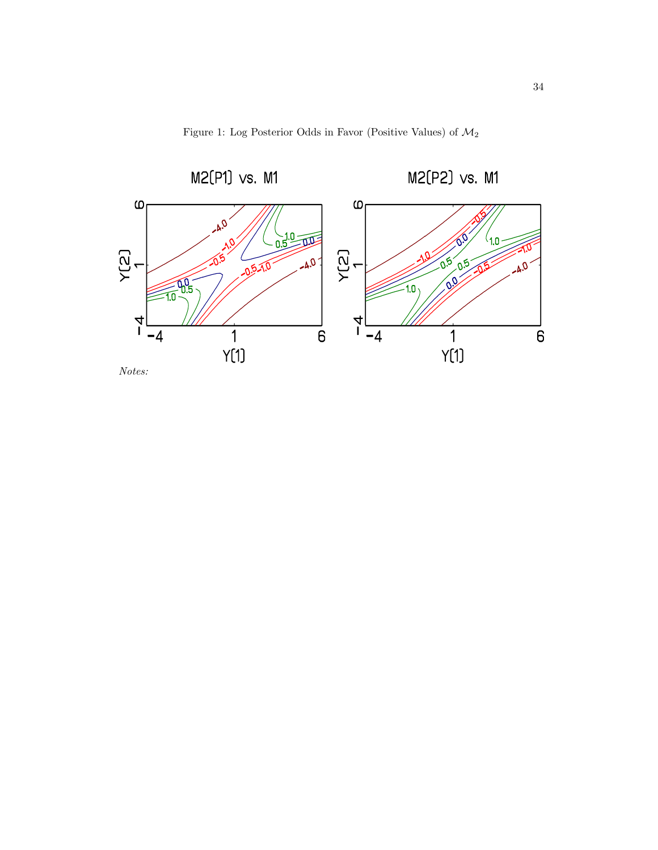

Figure 1: Log Posterior Odds in Favor (Positive Values) of  $\mathcal{M}_2$ 

Notes: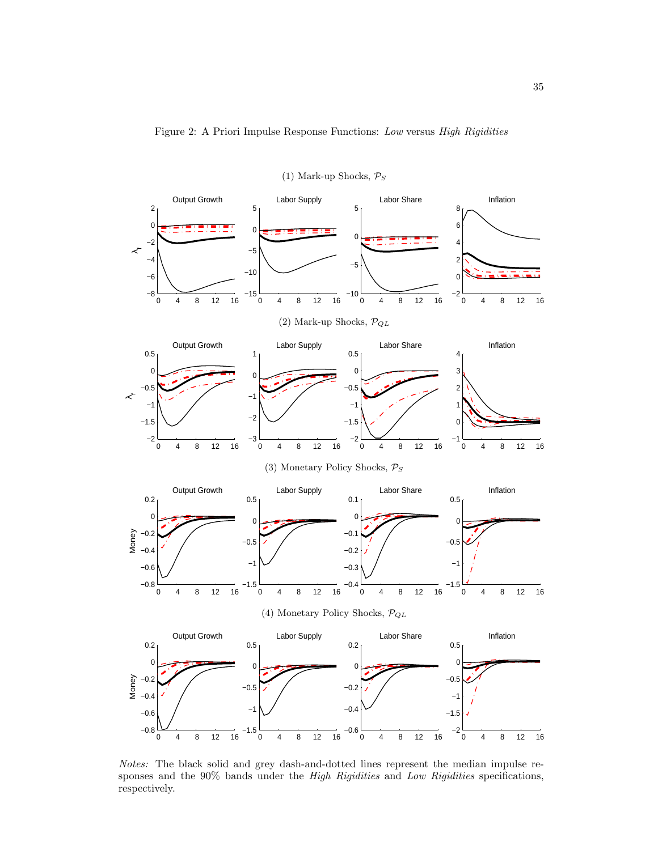

(1) Mark-up Shocks,  $P_S$ 

Notes: The black solid and grey dash-and-dotted lines represent the median impulse responses and the 90% bands under the High Rigidities and Low Rigidities specifications, respectively.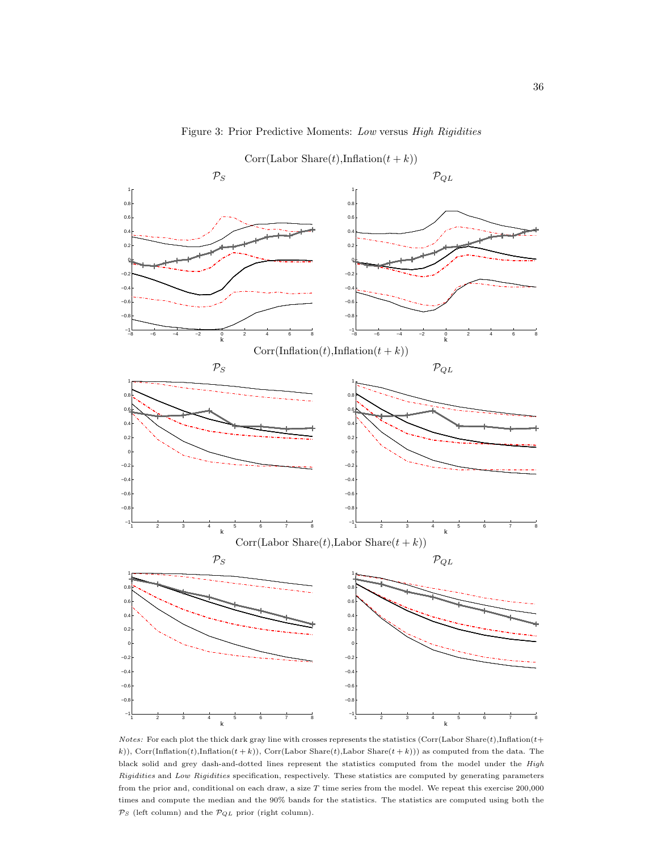

Notes: For each plot the thick dark gray line with crosses represents the statistics (Corr(Labor Share(t),Inflation(t+ k)), Corr(Inflation(t),Inflation(t + k)), Corr(Labor Share(t),Labor Share(t + k))) as computed from the data. The black solid and grey dash-and-dotted lines represent the statistics computed from the model under the High Rigidities and Low Rigidities specification, respectively. These statistics are computed by generating parameters from the prior and, conditional on each draw, a size  $T$  time series from the model. We repeat this exercise  $200,000$ times and compute the median and the 90% bands for the statistics. The statistics are computed using both the  $\mathcal{P}_S$  (left column) and the  $\mathcal{P}_{QL}$  prior (right column).